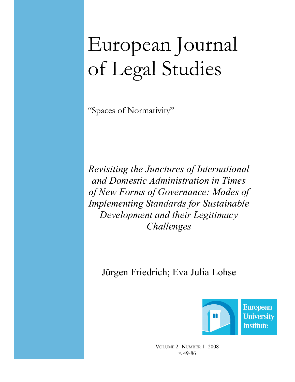# European Journal of Legal Studies

"Spaces of Normativity"

Revisiting the Junctures of International and Domestic Administration in Times of New Forms of Governance: Modes of Implementing Standards for Sustainable Development and their Legitimacy Challenges

Jürgen Friedrich; Eva Julia Lohse



VOLUME 2 NUMBER 1 2008 P. 49-86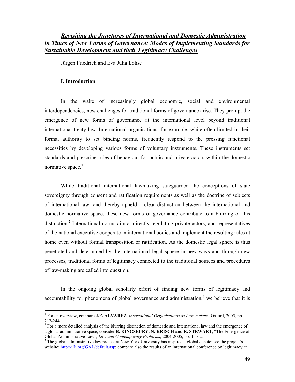# Revisiting the Junctures of International and Domestic Administration in Times of New Forms of Governance: Modes of Implementing Standards for Sustainable Development and their Legitimacy Challenges

Jürgen Friedrich and Eva Julia Lohse

## I. Introduction

 $\overline{a}$ 

In the wake of increasingly global economic, social and environmental interdependencies, new challenges for traditional forms of governance arise. They prompt the emergence of new forms of governance at the international level beyond traditional international treaty law. International organisations, for example, while often limited in their formal authority to set binding norms, frequently respond to the pressing functional necessities by developing various forms of voluntary instruments. These instruments set standards and prescribe rules of behaviour for public and private actors within the domestic normative space.<sup>1</sup>

While traditional international lawmaking safeguarded the conceptions of state sovereignty through consent and ratification requirements as well as the doctrine of subjects of international law, and thereby upheld a clear distinction between the international and domestic normative space, these new forms of governance contribute to a blurring of this distinction.<sup>2</sup> International norms aim at directly regulating private actors, and representatives of the national executive cooperate in international bodies and implement the resulting rules at home even without formal transposition or ratification. As the domestic legal sphere is thus penetrated and determined by the international legal sphere in new ways and through new processes, traditional forms of legitimacy connected to the traditional sources and procedures of law-making are called into question.

In the ongoing global scholarly effort of finding new forms of legitimacy and accountability for phenomena of global governance and administration,<sup>3</sup> we believe that it is

<sup>&</sup>lt;sup>1</sup> For an overview, compare J.E. ALVAREZ, International Organisations as Law-makers, Oxford, 2005, pp. 217-244.

<sup>&</sup>lt;sup>2</sup> For a more detailed analysis of the blurring distinction of domestic and international law and the emergence of a global administrative space, consider B. KINGSBURY, N. KRISCH and R. STEWART, "The Emergence of Global Administrative Law", Law and Contemporary Problems, 2004-2005, pp. 15-62.

<sup>&</sup>lt;sup>3</sup> The global administrative law project at New York University has inspired a global debate; see the project's website: http://iilj.org/GAL/default.asp; compare also the results of an international conference on legitimacy at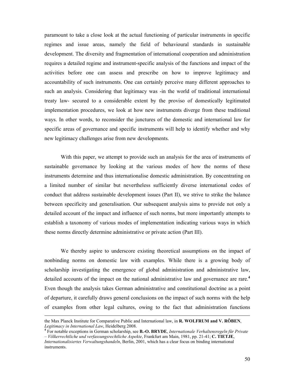paramount to take a close look at the actual functioning of particular instruments in specific regimes and issue areas, namely the field of behavioural standards in sustainable development. The diversity and fragmentation of international cooperation and administration requires a detailed regime and instrument-specific analysis of the functions and impact of the activities before one can assess and prescribe on how to improve legitimacy and accountability of such instruments. One can certainly perceive many different approaches to such an analysis. Considering that legitimacy was -in the world of traditional international treaty law- secured to a considerable extent by the proviso of domestically legitimated implementation procedures, we look at how new instruments diverge from these traditional ways. In other words, to reconsider the junctures of the domestic and international law for specific areas of governance and specific instruments will help to identify whether and why new legitimacy challenges arise from new developments.

With this paper, we attempt to provide such an analysis for the area of instruments of sustainable governance by looking at the various modes of how the norms of these instruments determine and thus internationalise domestic administration. By concentrating on a limited number of similar but nevertheless sufficiently diverse international codes of conduct that address sustainable development issues (Part II), we strive to strike the balance between specificity and generalisation. Our subsequent analysis aims to provide not only a detailed account of the impact and influence of such norms, but more importantly attempts to establish a taxonomy of various modes of implementation indicating various ways in which these norms directly determine administrative or private action (Part III).

We thereby aspire to underscore existing theoretical assumptions on the impact of nonbinding norms on domestic law with examples. While there is a growing body of scholarship investigating the emergence of global administration and administrative law, detailed accounts of the impact on the national administrative law and governance are rare.<sup>4</sup> Even though the analysis takes German administrative and constitutional doctrine as a point of departure, it carefully draws general conclusions on the impact of such norms with the help of examples from other legal cultures, owing to the fact that administration functions

the Max Planck Institute for Comparative Public and International law, in R. WOLFRUM and V. RÖBEN,

Legitimacy in International Law, Heidelberg 2008.<br><sup>4</sup> For notable exceptions in German scholarship, see **B.-O. BRYDE**, Internationale Verhaltensregeln für Private – Völkerrechtliche und verfassungsrechtliche Aspekte, Frankfurt am Main, 1981, pp. 21-41; C. TIETJE,

Internationalisiertes Verwaltungshandeln, Berlin, 2001, which has a clear focus on binding international instruments.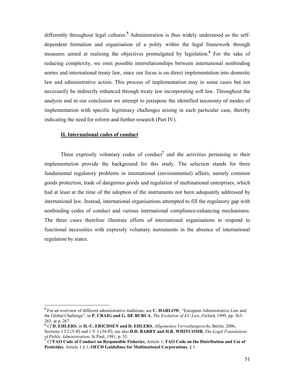differently throughout legal cultures.<sup>5</sup> Administration is thus widely understood as the selfdependent formation and organisation of a polity within the legal framework through measures aimed at realising the objectives promulgated by legislation. <sup>6</sup> For the sake of reducing complexity, we omit possible interrelationships between international nonbinding norms and international treaty law, since our focus is on direct implementation into domestic law and administrative action. This process of implementation may in some cases but not necessarily be indirectly enhanced through treaty law incorporating soft law. Throughout the analysis and in our conclusion we attempt to juxtapose the identified taxonomy of modes of implementation with specific legitimacy challenges arising in each particular case, thereby indicating the need for reform and further research (Part IV).

#### II. International codes of conduct

 $\overline{a}$ 

Three expressly voluntary codes of conduct<sup>7</sup> and the activities pertaining to their implementation provide the background for this study. The selection stands for three fundamental regulatory problems in international (environmental) affairs, namely common goods protection, trade of dangerous goods and regulation of multinational enterprises, which had at least at the time of the adoption of the instruments not been adequately addressed by international law. Instead, international organisations attempted to fill the regulatory gap with nonbinding codes of conduct and various international compliance-enhancing mechanisms. The three cases therefore illustrate efforts of international organisations to respond to functional necessities with expressly voluntary instruments in the absence of international regulation by states.

<sup>&</sup>lt;sup>5</sup> For an overview of different administrative traditions, see C. HARLOW, "European Administrative Law and the Global Challenge", in **P. CRAIG and G. DE BURCA**, *The Evolution of EU Law*, Oxford, 1999, pp. 263-265, at p. 267.

 $6$  Cf D. EHLERS, in H.-U. ERICHSEN and D. EHLERS, Allgemeines Verwaltungsrecht, Berlin, 2006, Sections 1 I 2 (5-ff) and 1 V 1 (34-ff); see also **D.D. BARRY and H.R. WHITCOMB**, The Legal Foundations of Public Administration, St Paul, 1981, p. 53.

<sup>7</sup> Cf FAO Code of Conduct on Responsible Fisheries, Article 1; FAO Code on the Distribution and Use of Pesticides, Article 1 § 1; OECD Guidelines for Multinational Corporations, § 1.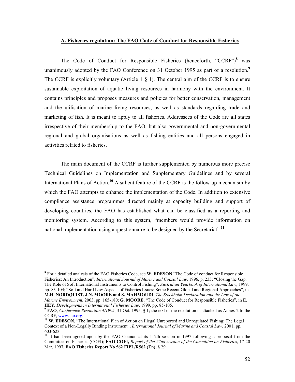# A. Fisheries regulation: The FAO Code of Conduct for Responsible Fisheries

The Code of Conduct for Responsible Fisheries (henceforth, "CCRF")<sup>8</sup> was unanimously adopted by the FAO Conference on 31 October 1995 as part of a resolution.<sup>9</sup> The CCRF is explicitly voluntary (Article 1  $\S$  1). The central aim of the CCRF is to ensure sustainable exploitation of aquatic living resources in harmony with the environment. It contains principles and proposes measures and policies for better conservation, management and the utilisation of marine living resources, as well as standards regarding trade and marketing of fish. It is meant to apply to all fisheries. Addressees of the Code are all states irrespective of their membership to the FAO, but also governmental and non-governmental regional and global organisations as well as fishing entities and all persons engaged in activities related to fisheries.

The main document of the CCRF is further supplemented by numerous more precise Technical Guidelines on Implementation and Supplementary Guidelines and by several International Plans of Action.<sup>10</sup> A salient feature of the CCRF is the follow-up mechanism by which the FAO attempts to enhance the implementation of the Code. In addition to extensive compliance assistance programmes directed mainly at capacity building and support of developing countries, the FAO has established what can be classified as a reporting and monitoring system. According to this system, "members would provide information on national implementation using a questionnaire to be designed by the Secretariat".<sup>11</sup>

<sup>&</sup>lt;sup>8</sup> For a detailed analysis of the FAO Fisheries Code, see W. EDESON "The Code of conduct for Responsible Fisheries: An Introduction", *International Journal of Marine and Coastal Law*, 1996, p. 233; "Closing the Gap: The Role of Soft International Instruments to Control Fishing", Australian Yearbook of International Law, 1999, pp. 83-104; "Soft and Hard Law Aspects of Fisheries Issues: Some Recent Global and Regional Approaches", in M.H. NORDQUIST, J.N. MOORE and S. MAHMOUDI, The Stockholm Declaration and the Law of the

Marine Environment, 2003, pp. 165-180; G. MOORE, "The Code of Conduct for Responsible Fisheries", in E. HEY, Developments in International Fisheries Law, 1999, pp. 85-105.

<sup>&</sup>lt;sup>9</sup> FAO, Conference Resolution 4/1995, 31 Oct. 1995, § 1; the text of the resolution is attached as Annex 2 to the CCRF, www.fao.org.

<sup>&</sup>lt;sup>10</sup> W. EDESON, "The International Plan of Action on Illegal Unreported and Unregulated Fishing: The Legal Context of a Non-Legally Binding Instrument", International Journal of Marine and Coastal Law, 2001, pp. 603-623.

<sup>&</sup>lt;sup>11</sup> It had been agreed upon by the FAO Council at its 112th session in 1997 following a proposal from the Committee on Fisheries (COFI); FAO COFI, Report of the 22nd session of the Committee on Fisheries, 17-20 Mar. 1997, FAO Fisheries Report No 562 FIPL/R562 (En), § 29.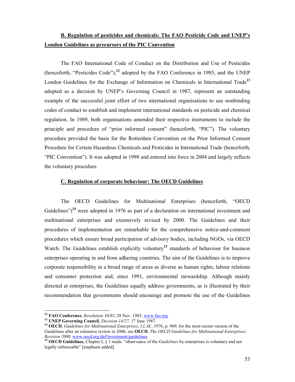# B. Regulation of pesticides and chemicals: The FAO Pesticide Code and UNEP's London Guidelines as precursors of the PIC Convention

The FAO International Code of Conduct on the Distribution and Use of Pesticides (henceforth, "Pesticides Code"), $^{12}$  adopted by the FAO Conference in 1985, and the UNEP London Guidelines for the Exchange of Information on Chemicals in International Trade<sup>13</sup> adopted as a decision by UNEP's Governing Council in 1987, represent an outstanding example of the successful joint effort of two international organisations to use nonbinding codes of conduct to establish and implement international standards on pesticide and chemical regulation. In 1989, both organisations amended their respective instruments to include the principle and procedure of "prior informed consent" (henceforth, "PIC"). The voluntary procedure provided the basis for the Rotterdam Convention on the Prior Informed Consent Procedure for Certain Hazardous Chemicals and Pesticides in International Trade (henceforth, "PIC Convention"). It was adopted in 1998 and entered into force in 2004 and largely reflects the voluntary procedure.

# C. Regulation of corporate behaviour: The OECD Guidelines

The OECD Guidelines for Multinational Enterprises (henceforth, "OECD Guidelines")<sup>14</sup> were adopted in 1976 as part of a declaration on international investment and multinational enterprises and extensively revised by 2000. The Guidelines and their procedures of implementation are remarkable for the comprehensive notice-and-comment procedures which ensure broad participation of advisory bodies, including NGOs, via OECD Watch. The Guidelines establish explicitly voluntary<sup>15</sup> standards of behaviour for business enterprises operating in and from adhering countries. The aim of the Guidelines is to improve corporate responsibility in a broad range of areas as diverse as human rights, labour relations and consumer protection and, since 1991, environmental stewardship. Although mainly directed at enterprises, the Guidelines equally address governments, as is illustrated by their recommendation that governments should encourage and promote the use of the Guidelines

<sup>&</sup>lt;sup>12</sup> FAO Conference, Resolution  $10/85$ , 28 Nov. 1985, www.fao.org.

<sup>&</sup>lt;sup>13</sup> UNEP Governing Council, *Decision 14/27*, 17 June 1987.

<sup>&</sup>lt;sup>14</sup> OECD, Guidelines for Multinational Enterprises, I.L.M., 1976, p. 969; for the most recent version of the Guidelines after an extensive review in 2000, see **OECD**, The OECD Guidelines for Multinational Enterprises: Revision 2000, www.oecd.org/daf/investment/guidelines.

<sup>&</sup>lt;sup>15</sup> OECD Guidelines, Chapter I,  $\S$  1 reads: "observance of the *Guidelines* by enterprises is voluntary and not legally enforceable" [emphasis added].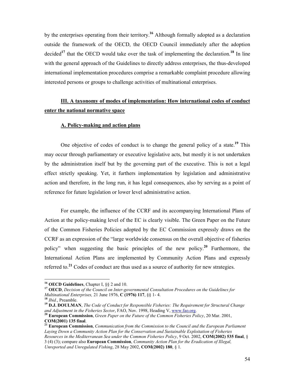by the enterprises operating from their territory.<sup>16</sup> Although formally adopted as a declaration outside the framework of the OECD, the OECD Council immediately after the adoption decided<sup>17</sup> that the OECD would take over the task of implementing the declaration.<sup>18</sup> In line with the general approach of the Guidelines to directly address enterprises, the thus-developed international implementation procedures comprise a remarkable complaint procedure allowing interested persons or groups to challenge activities of multinational enterprises.

# III. A taxonomy of modes of implementation: How international codes of conduct enter the national normative space

# A. Policy-making and action plans

One objective of codes of conduct is to change the general policy of a state.<sup>19</sup> This may occur through parliamentary or executive legislative acts, but mostly it is not undertaken by the administration itself but by the governing part of the executive. This is not a legal effect strictly speaking. Yet, it furthers implementation by legislation and administrative action and therefore, in the long run, it has legal consequences, also by serving as a point of reference for future legislation or lower level administrative action.

For example, the influence of the CCRF and its accompanying International Plans of Action at the policy-making level of the EC is clearly visible. The Green Paper on the Future of the Common Fisheries Policies adopted by the EC Commission expressly draws on the CCRF as an expression of the "large worldwide consensus on the overall objective of fisheries policy" when suggesting the basic principles of the new policy.<sup>20</sup> Furthermore, the International Action Plans are implemented by Community Action Plans and expressly referred to.<sup>21</sup> Codes of conduct are thus used as a source of authority for new strategies.

<sup>&</sup>lt;sup>16</sup> OECD Guidelines, Chapter I,  $\S\S 2$  and 10.

<sup>&</sup>lt;sup>17</sup> OECD, Decision of the Council on Inter-governmental Consultation Procedures on the Guidelines for Multinational Enterprises, 21 June 1976,  $C(1976)$  117, §§ 1-4.

<sup>18</sup> Ibid., Preamble.

 $19$  D.J. DOULMAN, The Code of Conduct for Responsible Fisheries: The Requirement for Structural Change and Adjustment in the Fisheries Sector, FAO, Nov. 1998, Heading V, www.fao.org.

 $20$  European Commission, Green Paper on the Future of the Common Fisheries Policy, 20 Mar. 2001, COM(2001) 135 final.

 $21$  European Commission, Communication from the Commission to the Council and the European Parliament Laying Down a Community Action Plan for the Conservation and Sustainable Exploitation of Fisheries Resources in the Mediterranean Sea under the Common Fisheries Policy, 9 Oct. 2002, COM(2002) 535 final, § 3 (4) (3); compare also European Commission, Community Action Plan for the Eradication of Illegal, Unreported and Unregulated Fishing, 28 May 2002, COM(2002) 180, § 1.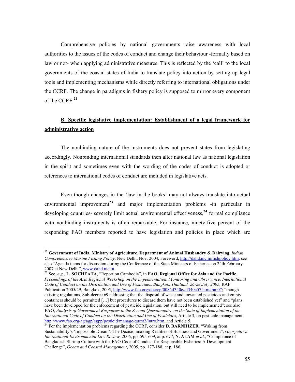Comprehensive policies by national governments raise awareness with local authorities to the issues of the codes of conduct and change their behaviour -formally based on law or not- when applying administrative measures. This is reflected by the 'call' to the local governments of the coastal states of India to translate policy into action by setting up legal tools and implementing mechanisms while directly referring to international obligations under the CCRF. The change in paradigms in fishery policy is supposed to mirror every component of the CCRF.<sup>22</sup>

# B. Specific legislative implementation: Establishment of a legal framework for administrative action

The nonbinding nature of the instruments does not prevent states from legislating accordingly. Nonbinding international standards then alter national law as national legislation in the spirit and sometimes even with the wording of the codes of conduct is adopted or references to international codes of conduct are included in legislative acts.

Even though changes in the 'law in the books' may not always translate into actual environmental improvement<sup>23</sup> and major implementation problems -in particular in developing countries- severely limit actual environmental effectiveness, $^{24}$  formal compliance with nonbinding instruments is often remarkable. For instance, ninety-five percent of the responding FAO members reported to have legislation and policies in place which are

 $^{22}$  Government of India, Ministry of Agriculture, Department of Animal Husbandry & Dairying, Indian Comprehensive Marine Fishing Policy, New Delhi, Nov. 2004, Foreword, http://dahd.nic.in/fishpolicy.htm; see also "Agenda items for discussion during the Conference of the State Ministers of Fisheries on 24th February 2007 at New Delhi", www.dahd.nic.in.

<sup>&</sup>lt;sup>23</sup> See, *e.g.*, L. SOCHEATA, "Report on Cambodia", in FAO, Regional Office for Asia and the Pacific, Proceedings of the Asia Regional Workshop on the Implementation, Monitoring and Observance, International Code of Conduct on the Distribution and Use of Pesticides, Bangkok, Thailand, 26-28 July 2005, RAP Publication 2005/29, Bangkok, 2005, http://www.fao.org/docrep/008/af340e/af340e07.htm#bm07; "though existing regulations, Sub-decree 69 addressing that the disposal of waste and unwanted pesticides and empty containers should be permitted […] but procedures to discard them have not been established yet" and "plans have been developed for the enforcement of pesticide legislation, but still need to be implemented"; see also FAO, Analysis of Government Responses to the Second Questionnaire on the State of Implementation of the International Code of Conduct on the Distribution and Use of Pesticides, Article 3, on pesticide management, http://www.fao.org/ag/agp/agpp/pesticid/manage/quest2/intro.htm, and Article 5.

<sup>&</sup>lt;sup>24</sup> For the implementation problems regarding the CCRF, consider **D. BARNHIZER**, "Waking from Sustainability's 'Impossible Dream': The Decisionmaking Realities of Business and Government", Georgetown International Environmental Law Review, 2006, pp. 595-609, at p. 677; N. ALAM et al., "Compliance of Bangladesh Shrimp Culture with the FAO Code of Conduct for Responsible Fisheries: A Development Challenge", Ocean and Coastal Management, 2005, pp. 177-188, at p. 186.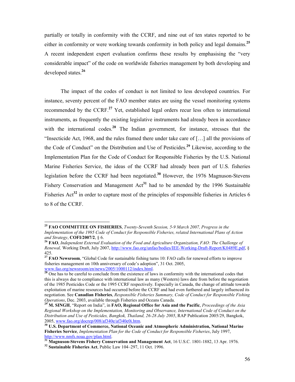partially or totally in conformity with the CCRF, and nine out of ten states reported to be either in conformity or were working towards conformity in both policy and legal domains.<sup>25</sup> A recent independent expert evaluation confirms these results by emphasising the "very considerable impact" of the code on worldwide fisheries management by both developing and developed states.<sup>26</sup>

The impact of the codes of conduct is not limited to less developed countries. For instance, seventy percent of the FAO member states are using the vessel monitoring systems recommended by the CCRF.<sup>27</sup> Yet, established legal orders recur less often to international instruments, as frequently the existing legislative instruments had already been in accordance with the international codes.<sup>28</sup> The Indian government, for instance, stresses that the "Insecticide Act, 1968, and the rules framed there under take care of […] all the provisions of the Code of Conduct" on the Distribution and Use of Pesticides.<sup>29</sup> Likewise, according to the Implementation Plan for the Code of Conduct for Responsible Fisheries by the U.S. National Marine Fisheries Service, the ideas of the CCRF had already been part of U.S. fisheries legislation before the CCRF had been negotiated.<sup>30</sup> However, the 1976 Magnuson-Stevens Fishery Conservation and Management  $Act<sup>31</sup>$  had to be amended by the 1996 Sustainable Fisheries  $Act^{32}$  in order to capture most of the principles of responsible fisheries in Articles 6 to 8 of the CCRF.

<sup>&</sup>lt;sup>25</sup> FAO COMMITTEE ON FISHERIES, Twenty-Seventh Session, 5-9 March 2007, Progress in the Implementation of the 1995 Code of Conduct for Responsible Fisheries, related International Plans of Action and Strategy, COFI/2007/2, § 6.

<sup>&</sup>lt;sup>26</sup> FAO, Independent External Evaluation of the Food and Agriculture Organization, FAO: The Challenge of Renewal, Working Draft, July 2007, http://www.fao.org/unfao/bodies/IEE-Working-Draft-Report/K0489E.pdf, § 425.

<sup>&</sup>lt;sup>27</sup> FAO Newsroom, "Global Code for sustainable fishing turns 10: FAO calls for renewed efforts to improve fisheries management on 10th anniversary of code's adoption", 31 Oct. 2005, www.fao.org/newsroom/en/news/2005/1000112/index.html.

<sup>&</sup>lt;sup>28</sup> One has to be careful to conclude from the existence of laws in conformity with the international codes that this is always due to compliance with international law as many (Western) laws date from before the negotiation of the 1985 Pesticides Code or the 1995 CCRF respectively. Especially in Canada, the change of attitude towards exploitation of marine resources had occurred before the CCRF and had even furthered and largely influenced its negotiation. See Canadian Fisheries, Responsible Fisheries Summary, Code of Conduct for Responsible Fishing Operations, Dec. 2003, available through Fisheries and Oceans Canada.

M. SINGH, "Report on India", in FAO, Regional Office for Asia and the Pacific, Proceedings of the Asia Regional Workshop on the Implementation, Monitoring and Observance, International Code of Conduct on the Distribution and Use of Pesticides, Bangkok, Thailand, 26-28 July 2005, RAP Publication 2005/29, Bangkok, 2005, www.fao.org/docrep/008/af340e/af340e0i.htm.

<sup>&</sup>lt;sup>30</sup> U.S. Department of Commerce, National Oceanic and Atmospheric Administration, National Marine Fisheries Service, Implementation Plan for the Code of Conduct for Responsible Fisheries, July 1997, http://www.nmfs.noaa.gov/plan.html.

<sup>&</sup>lt;sup>31</sup> Magnuson-Stevens Fishery Conservation and Management Act, 16 U.S.C. 1801-1882, 13 Apr. 1976. <sup>32</sup> Sustainable Fisheries Act, Public Law 104–297, 11 Oct. 1996.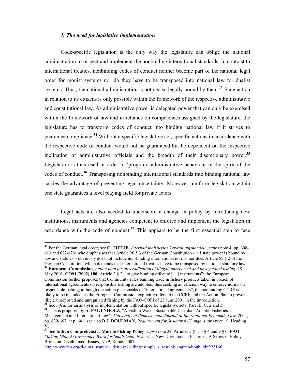# 1. The need for legislative implementation

Code-specific legislation is the only way the legislature can oblige the national administration to respect and implement the nonbinding international standards. In contrast to international treaties, nonbinding codes of conduct neither become part of the national legal order for monist systems nor do they have to be transposed into national law for dualist systems. Thus, the national administration is not *per se* legally bound by them.<sup>33</sup> State action in relation to its citizens is only possible within the framework of the respective administrative and constitutional law. As administrative power is delegated power that can only be exercised within the framework of law and in reliance on competences assigned by the legislature, the legislature has to transform codes of conduct into binding national law if it strives to guarantee compliance.<sup>34</sup> Without a specific legislative act, specific actions in accordance with the respective code of conduct would not be guaranteed but be dependent on the respective inclination of administrative officials and the breadth of their discretionary power.<sup>35</sup> Legislation is thus used in order to 'program' administrative behaviour in the spirit of the codes of conduct.<sup>36</sup> Transposing nonbinding international standards into binding national law carries the advantage of preventing legal uncertainty. Moreover, uniform legislation within one state guarantees a level playing field for private actors.

Legal acts are also needed to underscore a change in policy by introducing new institutions, instruments and agencies competent to enforce and implement the legislation in accordance with the code of conduct. $37$  This appears to be the first essential step to face

 $\ddot{\phantom{a}}$ 

http://www.fao.org/fi/eims\_search/1\_dett.asp?calling=simple\_s\_result&lang=en&pub\_id=223166.

 $33$  For the German legal order, see C. TIETJE, Internationalisiertes Verwaltungshandeln, supra note 4, pp. 608-613 and 622-623; who emphasises that Article 20 § 3 of the German Constitution -"all state power is bound by law and statutes"- obviously does not include non-binding international norms, nor does Article 59 § 2 of the German Constitution, which demands that international treaties have to be transposed by national statutory law. <sup>34</sup> European Commission, *Action plan for the eradication of illegal, unreported and unregulated fishing*, 28

May 2002, COM (2002) 180, Article 2  $\S 2$ , "to give binding effect to [...] instruments"; the European Commission further proposes that Community rules banning trade in fishery products taken in breach of international agreements on responsible fishing are adopted, thus seeking an efficient way to enforce norms on responsible fishing; although the action plan speaks of "international agreements", the nonbinding CCRF is likely to be included, as the European Commission explicitly refers to the CCRF and the Action Plan to prevent illicit, unreported and unregulated fishing by the FAO-COFI of 23 June 2001 in the introduction.  $35$  See *infra*, for an analysis of implementation without specific legislative acts: Part III, C, 2 and 3.

<sup>&</sup>lt;sup>36</sup> This is proposed by A. FAGENHOLZ, "A Fish in Water: Sustainable Canadian Atlantic Fisheries Management and International Law", University of Pennsylvania Journal of International Economic Law, 2004, pp. 639-667, at p. 641; see also **D.J. DOULMAN**, *Requirement for Structural Change, supra* note 19, Heading V.

<sup>&</sup>lt;sup>37</sup> See Indian Comprehensive Marine Fishing Policy, *supra* note 22, Articles 5  $\S$  1, 5  $\S$  4 and 9  $\S$  0; FAO, Making Global Governance Work for Small-Scale Fisheries, New Directions in Fisheries, A Series of Policy Briefs on Development Issues, No 9, Rome, 2007,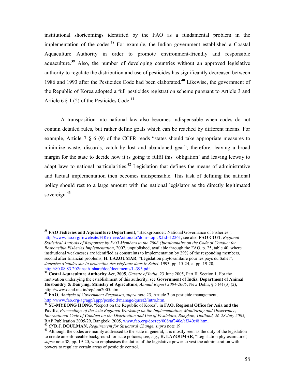institutional shortcomings identified by the FAO as a fundamental problem in the implementation of the codes.<sup>38</sup> For example, the Indian government established a Coastal Aquaculture Authority in order to promote environment-friendly and responsible aquaculture.<sup>39</sup> Also, the number of developing countries without an approved legislative authority to regulate the distribution and use of pesticides has significantly decreased between 1986 and 1993 after the Pesticides Code had been elaborated.<sup>40</sup> Likewise, the government of the Republic of Korea adopted a full pesticides registration scheme pursuant to Article 3 and Article 6  $\S$  1 (2) of the Pesticides Code.<sup>41</sup>

A transposition into national law also becomes indispensable when codes do not contain detailed rules, but rather define goals which can be reached by different means. For example, Article 7 § 6 (9) of the CCFR reads "states should take appropriate measures to minimize waste, discards, catch by lost and abandoned gear"; therefore, leaving a broad margin for the state to decide how it is going to fulfil this 'obligation' and leaving leeway to adapt laws to national particularities.<sup>42</sup> Legislation that defines the means of administrative and factual implementation then becomes indispensable. This task of defining the national policy should rest to a large amount with the national legislator as the directly legitimated sovereign.<sup>43</sup>

 $38$  FAO Fisheries and Aquaculture Department, "Backgrounder: National Governance of Fisheries", http://www.fao.org/fi/website/FIRetrieveAction.do?dom=topic&fid=12261; see also FAO COFI, Regional Statistical Analysis of Responses by FAO Members to the 2006 Questionnaire on the Code of Conduct for Responsible Fisheries Implementation, 2007, unpublished, available through the FAO, p. 25, table 40, where institutional weaknesses are identified as constraints to implementation by 29% of the responding members, second after financial problems; H. LAZOUMAR, "Législation phytosanitaire pour les pays du Sahel", Journées d'études sur la protection des végétaux dans le Sahel, 1993, pp. 15-24, at pp. 19-20, http://80.88.83.202/insah\_share/doc/documents/L-393.pdf.<br> $\frac{\text{http://80.88.83.202/insah_Share/doc/documents/L-393.pdf}}{S^3 \text{Costal A current.}}$ 

<sup>39</sup> Costal Aquaculture Authority Act, 2005, Gazette of India, 23 June 2005, Part II, Section 1. For the motivation underlying the establishment of this authority, see Government of India, Department of Animal Husbandry & Dairying, Ministry of Agriculture, Annual Report 2004-2005, New Delhi, § 5 (4) (3) (2), http:\\www.dahd.nic.in/rep/ann2005.htm.

 $^{40}$  FAO, Analysis of Government Responses, supra note 23, Article 3 on pesticide management, http://www.fao.org/ag/agp/agpp/pesticid/manage/quest2/intro.htm.

<sup>&</sup>lt;sup>41</sup> SU-MYEONG HONG, "Report on the Republic of Korea", in FAO, Regional Office for Asia and the Pacific, Proceedings of the Asia Regional Workshop on the Implementation, Monitoring and Observance, International Code of Conduct on the Distribution and Use of Pesticides, Bangkok, Thailand, 26-28 July 2005, RAP Publication 2005/29, Bangkok, 2005, www.fao.org/docrep/008/af340e/af340e0i.htm.

<sup>&</sup>lt;sup>42</sup> Cf **D.J. DOULMAN**, Requirement for Structural Change, supra note 19.

<sup>&</sup>lt;sup>43</sup> Although the codes are mainly addressed to the state in general, it is mostly seen as the duty of the legislation to create an enforceable background for state policies; see, e.g., H. LAZOUMAR, "Législation phytosanitaire", supra note 38, pp. 19-20, who emphasises the duties of the legislative power to vest the administration with powers to regulate certain areas of pesticide control.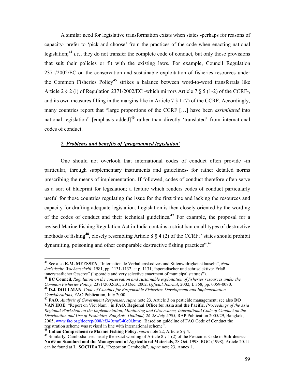A similar need for legislative transformation exists when states -perhaps for reasons of capacity- prefer to 'pick and choose' from the practices of the code when enacting national legislation;<sup>44</sup> *i.e.*, they do not transfer the complete code of conduct, but only those provisions that suit their policies or fit with the existing laws. For example, Council Regulation 2371/2002/EC on the conservation and sustainable exploitation of fisheries resources under the Common Fisheries Policy<sup>45</sup> strikes a balance between word-to-word transferrals like Article 2 § 2 (i) of Regulation 2371/2002/EC -which mirrors Article 7 § 5 (1-2) of the CCRF-, and its own measures filling in the margins like in Article 7 § 1 (7) of the CCRF. Accordingly, many countries report that "large proportions of the CCRF [...] have been *assimilated* into national legislation" [emphasis added]<sup>46</sup> rather than directly 'translated' from international codes of conduct.

### 2. Problems and benefits of 'programmed legislation'

One should not overlook that international codes of conduct often provide -in particular, through supplementary instruments and guidelines- for rather detailed norms prescribing the means of implementation. If followed, codes of conduct therefore often serve as a sort of blueprint for legislation; a feature which renders codes of conduct particularly useful for those countries regulating the issue for the first time and lacking the resources and capacity for drafting adequate legislation. Legislation is then closely oriented by the wording of the codes of conduct and their technical guidelines.<sup>47</sup> For example, the proposal for a revised Marine Fishing Regulation Act in India contains a strict ban on all types of destructive methods of fishing<sup>48</sup>, closely resembling Article 8  $\S 4$  (2) of the CCRF; "states should prohibit dynamiting, poisoning and other comparable destructive fishing practices".<sup>49</sup>

<sup>45</sup> EC Council, Regulation on the conservation and sustainable exploitation of fisheries resources under the Common Fisheries Policy, 2371/2002/EC, 20 Dec. 2002, Official Journal, 2002, L 358, pp. 0059-0080.  $^{46}$  D.J. DOULMAN, Code of Conduct for Responsible Fisheries: Development and Implementation Considerations, FAO Publication, July 2000.

<sup>&</sup>lt;sup>44</sup> See also K.M. MEESSEN, "Internationale Verhaltenskodizes und Sittenwidrigkeitsklauseln", Neue Juristische Wochenschrift, 1981, pp. 1131-1132, at p. 1131; "sporadischer und sehr selektiver Erlaß innerstaatlicher Gesetze" ("sporadic and very selective enactment of municipal statutes").

<sup>&</sup>lt;sup>47</sup> FAO, *Analysis of Government Responses*, *supra* note 23, Article 3 on pesticide management; see also DO VAN HOE, "Report on Viet Nam", in FAO, Regional Office for Asia and the Pacific, Proceedings of the Asia Regional Workshop on the Implementation, Monitoring and Observance, International Code of Conduct on the Distribution and Use of Pesticides, Bangkok, Thailand, 26-28 July 2005, RAP Publication 2005/29, Bangkok, 2005, www.fao.org/docrep/008/af340e/af340e0i.htm; "Based on guideline of FAO Code of Conduct the registration scheme was revised in line with international scheme".

<sup>&</sup>lt;sup>48</sup> Indian Comprehensive Marine Fishing Policy, *supra* note 22, Article 5  $\S$  4.

<sup>&</sup>lt;sup>49</sup> Similarly, Cambodia uses nearly the exact wording of Article 8 § 1 (2) of the Pesticides Code in Sub-decree No 69 on Standard and the Management of Agricultural Materials, 28 Oct. 1998, RGC (1998), Article 20. It can be found at L. SOCHEATA, "Report on Cambodia", supra note 23, Annex 1.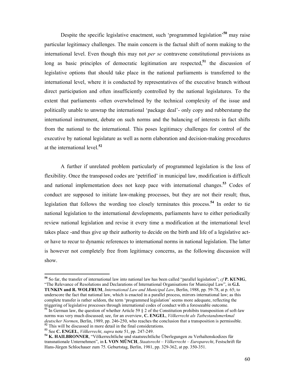Despite the specific legislative enactment, such 'programmed legislation'<sup>50</sup> may raise particular legitimacy challenges. The main concern is the factual shift of norm making to the international level. Even though this may not per se contravene constitutional provisions as long as basic principles of democratic legitimation are respected,<sup>51</sup> the discussion of legislative options that should take place in the national parliaments is transferred to the international level, where it is conducted by representatives of the executive branch without direct participation and often insufficiently controlled by the national legislatures. To the extent that parliaments -often overwhelmed by the technical complexity of the issue and politically unable to unwrap the international 'package deal'- only copy and rubberstamp the international instrument, debate on such norms and the balancing of interests in fact shifts from the national to the international. This poses legitimacy challenges for control of the executive by national legislature as well as norm elaboration and decision-making procedures at the international level.<sup>52</sup>

A further if unrelated problem particularly of programmed legislation is the loss of flexibility. Once the transposed codes are 'petrified' in municipal law, modification is difficult and national implementation does not keep pace with international changes.<sup>53</sup> Codes of conduct are supposed to initiate law-making processes, but they are not their result; thus, legislation that follows the wording too closely terminates this process.<sup>54</sup> In order to tie national legislation to the international developments, parliaments have to either periodically review national legislation and revise it every time a modification at the international level takes place -and thus give up their authority to decide on the birth and life of a legislative actor have to recur to dynamic references to international norms in national legislation. The latter is however not completely free from legitimacy concerns, as the following discussion will show.

<sup>&</sup>lt;sup>50</sup> So far, the transfer of international law into national law has been called "parallel legislation";  $cf$ **P. KUNIG**, "The Relevance of Resolutions and Declarations of International Organisations for Municipal Law", in G.I. TUNKIN and R. WOLFRUM, International Law and Municipal Law, Berlin, 1988, pp. 59-78, at p. 65; to underscore the fact that national law, which is enacted in a parallel process, mirrors international law; as this complete transfer is rather seldom, the term 'programmed legislation' seems more adequate, reflecting the triggering of legislative processes through international codes of conduct with a foreseeable outcome.

<sup>&</sup>lt;sup>51</sup> In German law, the question of whether Article 59 § 2 of the Constitution prohibits transposition of soft-law norms was very much discussed; see, for an overview, C. ENGEL, Völkerrecht als Tatbestandsmerkmal deutscher Normen, Berlin, 1989, pp. 246-250, who reaches the conclusion that a transposition is permissible. <sup>52</sup> This will be discussed in more detail in the final considerations.

 $53$  See C. ENGEL, *Völkerrecht*, supra note 51, pp. 247-249.

<sup>&</sup>lt;sup>54</sup> K. HAILBRONNER, "Völkerrechtliche und staatsrechtliche Überlegungen zu Verhaltenskodizes für transnationale Unternehmen", in I. VON MÜNCH, Staatsrecht – Völkerrecht – Europarecht, Festschrift für Hans-Jürgen Schlochauer zum 75. Geburtstag, Berlin, 1981, pp. 329-362, at pp. 350-351.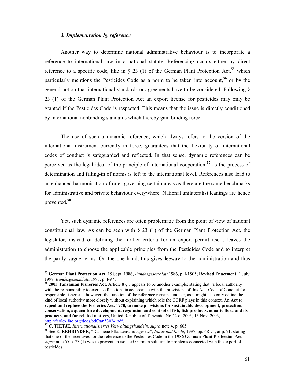#### 3. Implementation by reference

Another way to determine national administrative behaviour is to incorporate a reference to international law in a national statute. Referencing occurs either by direct reference to a specific code, like in  $\S$  23 (1) of the German Plant Protection Act,<sup>55</sup> which particularly mentions the Pesticides Code as a norm to be taken into account.<sup>56</sup> or by the general notion that international standards or agreements have to be considered. Following § 23 (1) of the German Plant Protection Act an export license for pesticides may only be granted if the Pesticides Code is respected. This means that the issue is directly conditioned by international nonbinding standards which thereby gain binding force.

The use of such a dynamic reference, which always refers to the version of the international instrument currently in force, guarantees that the flexibility of international codes of conduct is safeguarded and reflected. In that sense, dynamic references can be perceived as the legal ideal of the principle of international cooperation, $57$  as the process of determination and filling-in of norms is left to the international level. References also lead to an enhanced harmonisation of rules governing certain areas as there are the same benchmarks for administrative and private behaviour everywhere. National unilateralist leanings are hence prevented.<sup>58</sup>

Yet, such dynamic references are often problematic from the point of view of national constitutional law. As can be seen with § 23 (1) of the German Plant Protection Act, the legislator, instead of defining the further criteria for an export permit itself, leaves the administration to choose the applicable principles from the Pesticides Code and to interpret the partly vague terms. On the one hand, this gives leeway to the administration and thus

<sup>55</sup> German Plant Protection Act, 15 Sept. 1986, *Bundesgesetzblatt* 1986, p. I-1505; Revised Enactment, 1 July 1998, Bundesgesetzblatt, 1998, p. I-971.

<sup>56</sup> 2003 Tanzanian Fisheries Act, Article 8 § 3 appears to be another example; stating that "a local authority with the responsibility to exercise functions in accordance with the provisions of this Act, Code of Conduct for responsible fisheries"; however, the function of the reference remains unclear, as it might also only define the kind of local authority more closely without explaining which role the CCRF plays in this context. An Act to repeal and replace the Fisheries Act, 1970, to make provisions for sustainable development, protection, conservation, aquaculture development, regulation and control of fish, fish products, aquatic flora and its products, and for related matters, United Republic of Tanzania, No 22 of 2003, 13 Nov. 2003, http://faolex.fao.org/docs/pdf/tan53024.pdf.

 $57$  C. TIETJE, Internationalisiertes Verwaltungshandeln, supra note 4, p. 605.

<sup>58</sup> See E. REHBINDER, "Das neue Pflanzenschutzgesetz", Natur und Recht, 1987, pp. 68-74, at p. 71; stating that one of the incentives for the reference to the Pesticides Code in the 1986 German Plant Protection Act, supra note 55,  $\S 23$  (1) was to prevent an isolated German solution to problems connected with the export of pesticides.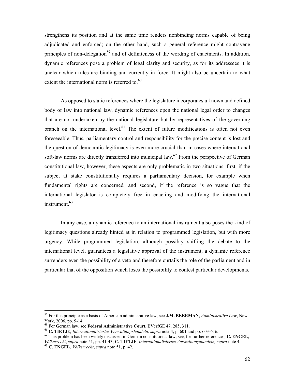strengthens its position and at the same time renders nonbinding norms capable of being adjudicated and enforced; on the other hand, such a general reference might contravene principles of non-delegation<sup>59</sup> and of definiteness of the wording of enactments. In addition, dynamic references pose a problem of legal clarity and security, as for its addressees it is unclear which rules are binding and currently in force. It might also be uncertain to what extent the international norm is referred to.<sup>60</sup>

As opposed to static references where the legislature incorporates a known and defined body of law into national law, dynamic references open the national legal order to changes that are not undertaken by the national legislature but by representatives of the governing branch on the international level. $61$  The extent of future modifications is often not even foreseeable. Thus, parliamentary control and responsibility for the precise content is lost and the question of democratic legitimacy is even more crucial than in cases where international soft-law norms are directly transferred into municipal law.<sup>62</sup> From the perspective of German constitutional law, however, these aspects are only problematic in two situations: first, if the subject at stake constitutionally requires a parliamentary decision, for example when fundamental rights are concerned, and second, if the reference is so vague that the international legislator is completely free in enacting and modifying the international instrument.<sup>63</sup>

In any case, a dynamic reference to an international instrument also poses the kind of legitimacy questions already hinted at in relation to programmed legislation, but with more urgency. While programmed legislation, although possibly shifting the debate to the international level, guarantees a legislative approval of the instrument, a dynamic reference surrenders even the possibility of a veto and therefore curtails the role of the parliament and in particular that of the opposition which loses the possibility to contest particular developments.

<sup>&</sup>lt;sup>59</sup> For this principle as a basis of American administrative law, see **J.M. BEERMAN**, *Administrative Law*, New York, 2006, pp. 9-14.

<sup>60</sup> For German law, see Federal Administrative Court, BVerfGE 47, 285, 311.

<sup>&</sup>lt;sup>61</sup> C. TIETJE, *Internationalisiertes Verwaltungshandeln, supra* note 4, p. 601 and pp. 603-616.

<sup>&</sup>lt;sup>62</sup> This problem has been widely discussed in German constitutional law; see, for further references, C. ENGEL, Völkerrecht, supra note 51, pp. 41-43; C. TIETJE, Internationalisiertes Verwaltungshandeln, supra note 4.

 $^{63}$  C. ENGEL, *Völkerrecht*, *supra* note 51, p. 42.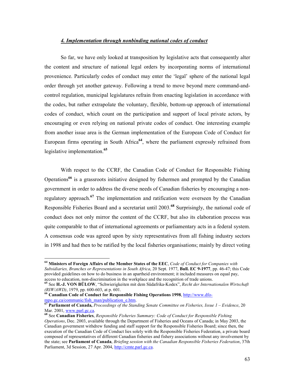#### 4. Implementation through nonbinding national codes of conduct

So far, we have only looked at transposition by legislative acts that consequently alter the content and structure of national legal orders by incorporating norms of international provenience. Particularly codes of conduct may enter the 'legal' sphere of the national legal order through yet another gateway. Following a trend to move beyond mere command-andcontrol regulation, municipal legislatures refrain from enacting legislation in accordance with the codes, but rather extrapolate the voluntary, flexible, bottom-up approach of international codes of conduct, which count on the participation and support of local private actors, by encouraging or even relying on national private codes of conduct. One interesting example from another issue area is the German implementation of the European Code of Conduct for European firms operating in South Africa<sup>64</sup>, where the parliament expressly refrained from legislative implementation.<sup>65</sup>

With respect to the CCRF, the Canadian Code of Conduct for Responsible Fishing Operations<sup>66</sup> is a grassroots initiative designed by fishermen and prompted by the Canadian government in order to address the diverse needs of Canadian fisheries by encouraging a nonregulatory approach.<sup>67</sup> The implementation and ratification were overseen by the Canadian Responsible Fisheries Board and a secretariat until 2003.<sup>68</sup> Surprisingly, the national code of conduct does not only mirror the content of the CCRF, but also its elaboration process was quite comparable to that of international agreements or parliamentary acts in a federal system. A consensus code was agreed upon by sixty representatives from all fishing industry sectors in 1998 and had then to be ratified by the local fisheries organisations; mainly by direct voting

 $66$  Canadian Code of Conduct for Responsible Fishing Operations 1998, http://www.dfompo.gc.ca/communic/fish\_man/publication\_e.htm.

 $64$  Ministers of Foreign Affairs of the Member States of the EEC, Code of Conduct for Companies with Subsidiaries, Branches or Representations in South Africa, 20 Sept. 1977, Bull. EC 9-1977, pp. 46-47; this Code provided guidelines on how to do business in an apartheid environment; it included measures on equal pay, access to education, non-discrimination in the workplace and the recognition of trade unions.

<sup>&</sup>lt;sup>65</sup> See H.-J. VON BÜLOW, "Schwierigkeiten mit dem Südafrika-Kodex", Recht der Internationalen Wirtschaft  $(RIW/AWD)$ , 1979, pp. 600-603, at p. 601.

 $^{67}$ Parliament of Canada, Proceedings of the Standing Senate Committee on Fisheries, Issue 1 – Evidence, 20 Mar. 2001, www.parl.gc.ca.

<sup>68</sup> See Canadian Fisheries, Responsible Fisheries Summary: Code of Conduct for Responsible Fishing Operations, Dec. 2003, available through the Department of Fisheries and Oceans of Canada; in May 2003, the Canadian government withdrew funding and staff support for the Responsible Fisheries Board; since then, the execution of the Canadian Code of Conduct lies solely with the Responsible Fisheries Federation, a private board composed of representatives of different Canadian fisheries and fishery associations without any involvement by the state; see Parliament of Canada, Briefing session with the Canadian Responsible Fisheries Federation, 37th Parliament, 3d Session, 27 Apr. 2004, http://cmte.parl.gc.ca.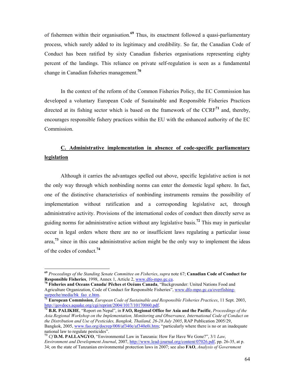of fishermen within their organisation.<sup>69</sup> Thus, its enactment followed a quasi-parliamentary process, which surely added to its legitimacy and credibility. So far, the Canadian Code of Conduct has been ratified by sixty Canadian fisheries organisations representing eighty percent of the landings. This reliance on private self-regulation is seen as a fundamental change in Canadian fisheries management.<sup>70</sup>

In the context of the reform of the Common Fisheries Policy, the EC Commission has developed a voluntary European Code of Sustainable and Responsible Fisheries Practices directed at its fishing sector which is based on the framework of the  $CCRF<sup>71</sup>$  and, thereby, encourages responsible fishery practices within the EU with the enhanced authority of the EC Commission.

# C. Administrative implementation in absence of code-specific parliamentary legislation

Although it carries the advantages spelled out above, specific legislative action is not the only way through which nonbinding norms can enter the domestic legal sphere. In fact, one of the distinctive characteristics of nonbinding instruments remains the possibility of implementation without ratification and a corresponding legislative act, through administrative activity. Provisions of the international codes of conduct then directly serve as guiding norms for administrative action without any legislative basis.<sup>72</sup> This may in particular occur in legal orders where there are no or insufficient laws regulating a particular issue area,<sup>73</sup> since in this case administrative action might be the only way to implement the ideas of the codes of conduct.<sup>74</sup>

 $^{69}$  Proceedings of the Standing Senate Committee on Fisheries, supra note 67; Canadian Code of Conduct for Responsible Fisheries, 1998, Annex 1, Article 2, www.dfo-mpo.gc.ca.

<sup>&</sup>lt;sup>70</sup> Fisheries and Oceans Canada/ Pêches et Océans Canada, "Backgrounder: United Nations Food and Agriculture Organization, Code of Conduct for Responsible Fisheries", www.dfo-mpo.gc.ca/overfishingsurpeche/media/bk\_fao\_e.htm.

 $^{71}$  European Commission, European Code of Sustainable and Responsible Fisheries Practices, 11 Sept. 2003, http://govdocs.aquake.org/cgi/reprint/2004/1017/10170060.pdf.

 $\overline{72}$  B.R. PALIKHE, "Report on Nepal", in FAO, Regional Office for Asia and the Pacific, Proceedings of the Asia Regional Workshop on the Implementation, Monitoring and Observance, International Code of Conduct on the Distribution and Use of Pesticides, Bangkok, Thailand, 26-28 July 2005, RAP Publication 2005/29, Bangkok, 2005, www.fao.org/docrep/008/af340e/af340e0i.htm; "particularly where there is no or an inadequate national law to regulate pesticides".

<sup>&</sup>lt;sup>73</sup> Cf **D.M. PALLANGYO**, "Environmental Law in Tanzania: How Far Have We Gone?",  $3/1$  Law, Environment and Development Journal, 2007, http://www.lead-journal.org/content/07026.pdf, pp. 26-35, at p. 34; on the state of Tanzanian environmental protection laws in 2007; see also FAO, Analysis of Government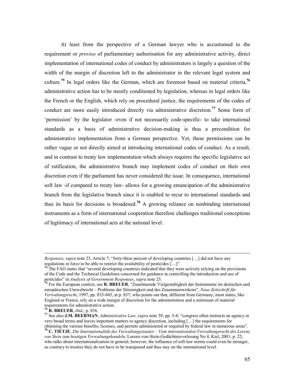At least from the perspective of a German lawyer who is accustomed to the requirement or proviso of parliamentary authorisation for any administrative activity, direct implementation of international codes of conduct by administrators is largely a question of the width of the margin of discretion left to the administrator in the relevant legal system and culture.<sup>75</sup> In legal orders like the German, which are foremost based on material criteria,<sup>76</sup> administrative action has to be mostly conditioned by legislation, whereas in legal orders like the French or the English, which rely on procedural justice, the requirements of the codes of conduct are more easily introduced directly via administrative discretion.<sup>77</sup> Some form of 'permission' by the legislator -even if not necessarily code-specific- to take international standards as a basis of administrative decision-making is thus a precondition for administrative implementation from a German perspective. Yet, these permissions can be rather vague or not directly aimed at introducing international codes of conduct. As a result, and in contrast to treaty law implementation which always requires the specific legislative act of ratification, the administrative branch may implement codes of conduct on their own discretion even if the parliament has never considered the issue. In consequence, international soft law -if compared to treaty law- allows for a growing emancipation of the administrative branch from the legislative branch since it is enabled to recur to international standards and thus its basis for decisions is broadened.<sup>78</sup> A growing reliance on nonbinding international instruments as a form of international cooperation therefore challenges traditional conceptions of legitimacy of international acts at the national level.

Responses, supra note 23, Article 7; "forty-three percent of developing countries […] did not have any regulations in force to be able to restrict the availability of pesticides […]".

<sup>&</sup>lt;sup>74</sup> The FAO states that "several developing countries indicated that they were actively relying on the provisions of the Code and the Technical Guidelines concerned for guidance in controlling the introduction and use of pesticides" in Analysis of Government Responses, supra note 23.

<sup>&</sup>lt;sup>75</sup> For the European context, see R. BREUER, "Zunehmende Vielgestaltigkeit der Instrumente im deutschen und europäischen Umweltrecht – Probleme der Stimmigkeit und des Zusammenwirkens", Neue Zeitschrift für Verwaltungsrecht, 1997, pp. 833-845, at p. 837; who points out that, different from Germany, most states, like England or France, rely on a wide margin of discretion for the administration and a minimum of material requirements for administrative action.

 $76$  R. BREUER, *ibid.*, p. 836.

 $77$  See also J.M. BEERMAN, Administrative Law, supra note 59, pp. 3-4; "congress often instructs an agency in very broad terms and leaves important matters to agency discretion, including […] the requirements for obtaining the various benefits, licenses, and permits administered or required by federal law in numerous areas".

<sup>&</sup>lt;sup>78</sup> C. TIETJE, Die Internationalität des Verwaltungsstaates – Vom internationalen Verwaltungsrecht des Lorenz von Stein zum heutigen Verwaltungshandeln, Lorenz-von-Stein-Gedächtnisvorlesung No 4, Kiel, 2001, p. 22; who talks about internationalisation in general; however, the influence of soft-law norms could even be stronger, as contrary to treaties they do not have to be transposed and thus stay on the international level.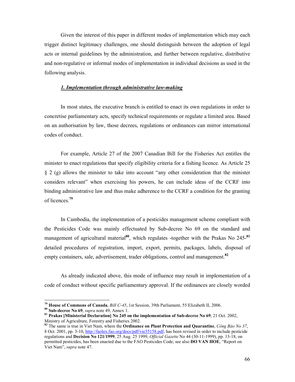Given the interest of this paper in different modes of implementation which may each trigger distinct legitimacy challenges, one should distinguish between the adoption of legal acts or internal guidelines by the administration, and further between regulative, distributive and non-regulative or informal modes of implementation in individual decisions as used in the following analysis.

#### 1. Implementation through administrative law-making

In most states, the executive branch is entitled to enact its own regulations in order to concretise parliamentary acts, specify technical requirements or regulate a limited area. Based on an authorisation by law, those decrees, regulations or ordinances can mirror international codes of conduct.

For example, Article 27 of the 2007 Canadian Bill for the Fisheries Act entitles the minister to enact regulations that specify eligibility criteria for a fishing licence. As Article 25 § 2 (g) allows the minister to take into account "any other consideration that the minister considers relevant" when exercising his powers, he can include ideas of the CCRF into binding administrative law and thus make adherence to the CCRF a condition for the granting of licences.<sup>79</sup>

In Cambodia, the implementation of a pesticides management scheme compliant with the Pesticides Code was mainly effectuated by Sub-decree No 69 on the standard and management of agricultural material<sup>80</sup>, which regulates -together with the Prakas No  $245$ -<sup>81</sup> detailed procedures of registration, import, export, permits, packages, labels, disposal of empty containers, sale, advertisement, trader obligations, control and management.<sup>82</sup>

As already indicated above, this mode of influence may result in implementation of a code of conduct without specific parliamentary approval. If the ordinances are closely worded

<sup>&</sup>lt;sup>79</sup> House of Commons of Canada, *Bill C-45*, 1st Session, 39th Parliament, 55 Elizabeth II, 2006.

 $80$  Sub-decree No 69, *supra* note 49, Annex 1.

<sup>&</sup>lt;sup>81</sup> Prakas [Ministerial Declaration] No 245 on the implementation of Sub-decree No 69, 21 Oct. 2002, Ministry of Agriculture, Forestry and Fisheries 2002.

 $82$  The same is true in Viet Nam, where the Ordinance on Plant Protection and Quarantine, Công Báo No 37, 8 Oct. 2001, pp. 3-10, http://faolex.fao.org/docs/pdf/vie35158.pdf, has been revised in order to include pesticide regulations and Decision No 121/1999, 25 Aug. 25 1999, Official Gazette No 44 (30-11-1999), pp. 13-18, on permitted pesticides, has been enacted due to the FAO Pesticides Code; see also **DO VAN HOE**, "Report on Viet Nam", supra note 47.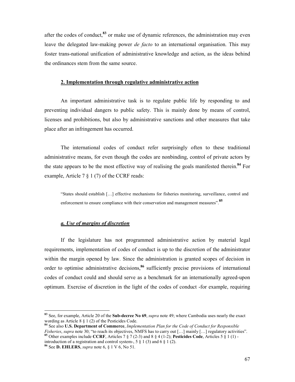after the codes of conduct.<sup>83</sup> or make use of dynamic references, the administration may even leave the delegated law-making power *de facto* to an international organisation. This may foster trans-national unification of administrative knowledge and action, as the ideas behind the ordinances stem from the same source.

## 2. Implementation through regulative administrative action

An important administrative task is to regulate public life by responding to and preventing individual dangers to public safety. This is mainly done by means of control, licenses and prohibitions, but also by administrative sanctions and other measures that take place after an infringement has occurred.

The international codes of conduct refer surprisingly often to these traditional administrative means, for even though the codes are nonbinding, control of private actors by the state appears to be the most effective way of realising the goals manifested therein.<sup>84</sup> For example, Article 7 § 1 (7) of the CCRF reads:

"States should establish […] effective mechanisms for fisheries monitoring, surveillance, control and enforcement to ensure compliance with their conservation and management measures".<sup>85</sup>

#### a. Use of margins of discretion

 $\overline{a}$ 

If the legislature has not programmed administrative action by material legal requirements, implementation of codes of conduct is up to the discretion of the administrator within the margin opened by law. Since the administration is granted scopes of decision in order to optimise administrative decisions,<sup>86</sup> sufficiently precise provisions of international codes of conduct could and should serve as a benchmark for an internationally agreed-upon optimum. Exercise of discretion in the light of the codes of conduct -for example, requiring

introduction of a registration and control system-,  $5 \n§ 1 (3)$  and  $6 \n§ 1 (2)$ . <sup>86</sup> See **D. EHLERS**, *supra* note 6,  $\S$  1 V 6, No 51.

<sup>&</sup>lt;sup>83</sup> See, for example, Article 20 of the **Sub-decree No 69**, *supra* note 49; where Cambodia uses nearly the exact wording as Article 8 § 1 (2) of the Pesticides Code.

<sup>84</sup> See also U.S. Department of Commerce, Implementation Plan for the Code of Conduct for Responsible Fisheries, supra note 30; "to reach its objectives, NMFS has to carry out [...] mainly [...] regulatory activities". <sup>85</sup> Other examples include CCRF, Articles 7  $\S 7 (2-3)$  and 8  $\S 4 (1-2)$ ; Pesticides Code, Articles 5  $\S 1 (1)$  -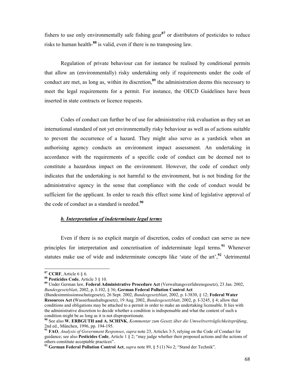fishers to use only environmentally safe fishing gear<sup>87</sup> or distributors of pesticides to reduce risks to human health-<sup>88</sup> is valid, even if there is no transposing law.

Regulation of private behaviour can for instance be realised by conditional permits that allow an (environmentally) risky undertaking only if requirements under the code of conduct are met, as long as, within its discretion,<sup>89</sup> the administration deems this necessary to meet the legal requirements for a permit. For instance, the OECD Guidelines have been inserted in state contracts or licence requests.

Codes of conduct can further be of use for administrative risk evaluation as they set an international standard of not yet environmentally risky behaviour as well as of actions suitable to prevent the occurrence of a hazard. They might also serve as a yardstick when an authorising agency conducts an environment impact assessment. An undertaking in accordance with the requirements of a specific code of conduct can be deemed not to constitute a hazardous impact on the environment. However, the code of conduct only indicates that the undertaking is not harmful to the environment, but is not binding for the administrative agency in the sense that compliance with the code of conduct would be sufficient for the applicant. In order to reach this effect some kind of legislative approval of the code of conduct as a standard is needed. $90$ 

#### b. Interpretation of indeterminate legal terms

Even if there is no explicit margin of discretion, codes of conduct can serve as new principles for interpretation and concretisation of indeterminate legal terms.<sup>91</sup> Whenever statutes make use of wide and indeterminate concepts like 'state of the art', $92$  'detrimental'

 $87$  CCRF, Article 6  $\S$  6.

<sup>88</sup> Pesticides Code, Article 3 § 10.

<sup>89</sup> Under German law, Federal Administrative Procedure Act (Verwaltungsverfahrensgesetz), 23 Jan. 2002, Bundesgesetzblatt, 2002, p. I-102, § 36; German Federal Pollution Control Act

<sup>(</sup>Bundesimmissionsschutzgesetz), 26 Sept. 2002, Bundesgesetzblatt, 2002, p. I-3830, § 12; Federal Water Resources Act (Wasserhaushaltsgesetz), 19 Aug. 2002, Bundesgesetzblatt, 2002, p. I-3245, § 4; allow that conditions and obligations may be attached to a permit in order to make an undertaking licensable. It lies with the administrative discretion to decide whether a condition is indispensable and what the content of such a condition might be as long as it is not disproportionate.

 $90$  See also W. ERBGUTH and A. SCHINK, Kommentar zum Gesetz über die Umweltverträglichkeitsprüfung, 2nd ed., München, 1996, pp. 194-195.

<sup>&</sup>lt;sup>91</sup> FAO, *Analysis of Government Responses, supra* note 23, Articles 3-5, relying on the Code of Conduct for guidance; see also Pesticides Code, Article 1 § 2; "may judge whether their proposed actions and the actions of others constitute acceptable practices".

<sup>&</sup>lt;sup>92</sup> German Federal Pollution Control Act, *supra* note 89, § 5 (1) No 2; "Stand der Technik".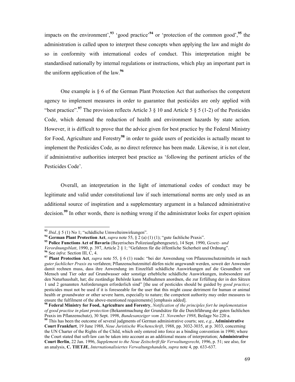impacts on the environment',<sup>93</sup> 'good practice'<sup>94</sup> or 'protection of the common good',<sup>95</sup> the administration is called upon to interpret these concepts when applying the law and might do so in conformity with international codes of conduct. This interpretation might be standardised nationally by internal regulations or instructions, which play an important part in the uniform application of the law.<sup>96</sup>

One example is  $\S$  6 of the German Plant Protection Act that authorises the competent agency to implement measures in order to guarantee that pesticides are only applied with "best practice".<sup>97</sup> The provision reflects Article 3  $\S$  10 and Article 5  $\S$  5 (1-2) of the Pesticides Code, which demand the reduction of health and environment hazards by state action. However, it is difficult to prove that the advice given for best practice by the Federal Ministry for Food, Agriculture and Forestry<sup>98</sup> in order to guide users of pesticides is actually meant to implement the Pesticides Code, as no direct reference has been made. Likewise, it is not clear, if administrative authorities interpret best practice as 'following the pertinent articles of the Pesticides Code'.

Overall, an interpretation in the light of international codes of conduct may be legitimate and valid under constitutional law if such international norms are only used as an additional source of inspiration and a supplementary argument in a balanced administrative decision.<sup>99</sup> In other words, there is nothing wrong if the administrator looks for expert opinion

 $93$  *Ibid.*, § 5 (1) No 1; "schädliche Umwelteinwirkungen".

<sup>&</sup>lt;sup>94</sup> German Plant Protection Act, *supra* note 55,  $\S$  2 (a) (1) (1); "gute fachliche Praxis".

<sup>&</sup>lt;sup>95</sup> Police Functions Act of Bavaria (Bayerisches Polizeiaufgabengesetz), 14 Sept. 1990, Gesetz- und

Verordnungsblatt, 1990, p. 397, Article 2 § 1; "Gefahren für die öffentliche Sicherheit und Ordnung".

<sup>&</sup>lt;sup>96</sup> See infra: Section III, C, 4.

<sup>&</sup>lt;sup>97</sup> Plant Protection Act, *supra* note 55,  $\S$  6 (1) reads: "bei der Anwendung von Pflanzenschutzmitteln ist nach guter fachlicher Praxis zu verfahren; Pflanzenschutzmittel dürfen nicht angewandt werden, soweit der Anwender damit rechnen muss, dass ihre Anwendung im Einzelfall schädliche Auswirkungen auf die Gesundheit von Mensch und Tier oder auf Grundwasser oder sonstige erhebliche schädliche Auswirkungen, insbesondere auf den Naturhaushalt, hat; die zuständige Behörde kann Maßnahmen anordnen, die zur Erfüllung der in den Sätzen 1 und 2 genannten Anforderungen erforderlich sind" [the use of pesticides should be guided by good practice; pesticides must not be used if it is foreseeable for the user that this might cause detriment for human or animal health or groundwater or other severe harm, especially to nature; the competent authority may order measures to ensure the fulfilment of the above-mentioned requirements] [emphasis added].

 $98$  Federal Ministry for Food, Agriculture and Forestry, Notification of the principles fort he implementation of good practise in plant protection (Bekanntmachung der Grundsätze für die Durchführung der guten fachlichen Praxis im Pflanzenschutz), 30 Sept. 1998, Bundesanzeiger vom 21. November 1998, Beilage No 220 a.

<sup>&</sup>lt;sup>99</sup> This has been the outcome of several judgments of German administrative courts; see, e.g., Administrative Court Frankfurt, 19 June 1988, Neue Juristische Wochenschrift, 1988, pp. 3032-3035, at p. 3033, concerning the UN Charter of the Rights of the Child, which only entered into force as a binding convention in 1990; where the Court stated that soft-law can be taken into account as an additional means of interpretation; Administrative Court Berlin, 22 Jan. 1996, Supplement to the Neue Zeitschrift für Verwaltungsrecht, 1996, p. 51; see also, for an analysis, C. TIETJE, Internationalisiertes Verwaltungshandeln, supra note 4, pp. 633-637.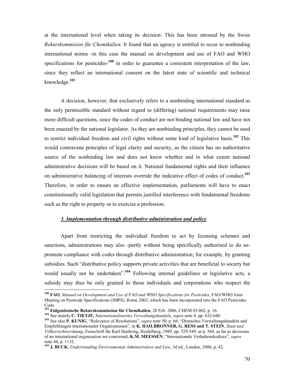at the international level when taking its decision. This has been stressed by the Swiss Rekurskommision für Chemikalien. It found that an agency is entitled to recur to nonbinding international norms -in this case the manual on development and use of FAO and WHO specifications for pesticides- $100$  in order to guarantee a consistent interpretation of the law, since they reflect an international consent on the latest state of scientific and technical knowledge.<sup>101</sup>

A decision, however, that exclusively refers to a nonbinding international standard as the only permissible standard without regard to (differing) national requirements may raise more difficult questions, since the codes of conduct are not binding national law and have not been enacted by the national legislator. As they are nonbinding principles, they cannot be used to restrict individual freedom and civil rights without some kind of legislative basis.<sup>102</sup> This would contravene principles of legal clarity and security, as the citizen has no authoritative source of the nonbinding law and does not know whether and to what extent national administrative decisions will be based on it. National fundamental rights and their influence on administrative balancing of interests override the indicative effect of codes of conduct.<sup>103</sup> Therefore, in order to ensure an effective implementation, parliaments will have to enact constitutionally valid legislation that permits justified interference with fundamental freedoms such as the right to property or to exercise a profession.

# 3. Implementation through distributive administration and policy

Apart from restricting the individual freedom to act by licensing schemes and sanctions, administrations may also -partly without being specifically authorised to do sopromote compliance with codes through distributive administration; for example, by granting subsidies. Such "distributive policy supports private activities that are beneficial to society but would usually not be undertaken".<sup>104</sup> Following internal guidelines or legislative acts, a subsidy may thus be only granted to those individuals and corporations who respect the

 $^{100}$  FAO, Manual on Development and Use of FAO and WHO Specifications for Pesticides, FAO/WHO Joint Meeting on Pesticide Specifications (JMPS), Rome 2002; which has been incorporated into the FAO Pesticides Code.

<sup>&</sup>lt;sup>101</sup> Eidgenössische Rekurskommission für Chemikalien, 28 Feb. 2006, CHEM 05.002, p. 16.

<sup>&</sup>lt;sup>102</sup> See mainly C. TIETJE, Internationalisiertes Verwaltungshandeln, supra note 4, pp. 632-640.

<sup>&</sup>lt;sup>103</sup> See also P. KUNIG, "Relevance of Resolutions", *supra* note 50, p. 66; "Deutsches Verwaltungshandeln und Empfehlungen internationaler Organisationen", in K. HAILBRONNER, G. RESS and T. STEIN, Staat und Völkerrechtsordnung, Festschrift für Karl Doehring, Heidelberg, 1989, pp. 529-549, at p. 540, as far as decisions of an international organisation are concerned; K.M. MEESSEN, "Internationale Verhaltenskodizes", supra note 44, p. 1132.

<sup>&</sup>lt;sup>104</sup> J. BUCK, Understanding Environmental Administration and Law, 3d ed., London, 2006, p. 42.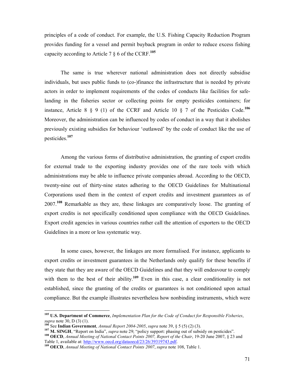principles of a code of conduct. For example, the U.S. Fishing Capacity Reduction Program provides funding for a vessel and permit buyback program in order to reduce excess fishing capacity according to Article 7  $\S$  6 of the CCRF.<sup>105</sup>

The same is true wherever national administration does not directly subsidise individuals, but uses public funds to (co-)finance the infrastructure that is needed by private actors in order to implement requirements of the codes of conducts like facilities for safelanding in the fisheries sector or collecting points for empty pesticides containers; for instance, Article 8  $\S$  9 (1) of the CCRF and Article 10  $\S$  7 of the Pesticides Code.<sup>106</sup> Moreover, the administration can be influenced by codes of conduct in a way that it abolishes previously existing subsidies for behaviour 'outlawed' by the code of conduct like the use of pesticides.<sup>107</sup>

Among the various forms of distributive administration, the granting of export credits for external trade to the exporting industry provides one of the rare tools with which administrations may be able to influence private companies abroad. According to the OECD, twenty-nine out of thirty-nine states adhering to the OECD Guidelines for Multinational Corporations used them in the context of export credits and investment guarantees as of 2007.<sup>108</sup> Remarkable as they are, these linkages are comparatively loose. The granting of export credits is not specifically conditioned upon compliance with the OECD Guidelines. Export credit agencies in various countries rather call the attention of exporters to the OECD Guidelines in a more or less systematic way.

In some cases, however, the linkages are more formalised. For instance, applicants to export credits or investment guarantees in the Netherlands only qualify for these benefits if they state that they are aware of the OECD Guidelines and that they will endeavour to comply with them to the best of their ability.<sup>109</sup> Even in this case, a clear conditionality is not established, since the granting of the credits or guarantees is not conditioned upon actual compliance. But the example illustrates nevertheless how nonbinding instruments, which were

 $105$  U.S. Department of Commerce, Implementation Plan for the Code of Conduct for Responsible Fisheries, supra note 30, D (3) (1).

See Indian Government, Annual Report 2004-2005, supra note 39, § 5 (5) (2) (3).

<sup>107</sup> M. SINGH, "Report on India", *supra* note 29; "policy support: phasing out of subsidy on pesticides". <sup>108</sup> OECD, Annual Meeting of National Contact Points 2007, Report of the Chair, 19-20 June 2007, § 23 and

Table 1, available at: http://www.oecd.org/dataoecd/23/26/39319743.pdf.

 $109$  OECD, Annual Meeting of National Contact Points 2007, supra note 108, Table 1.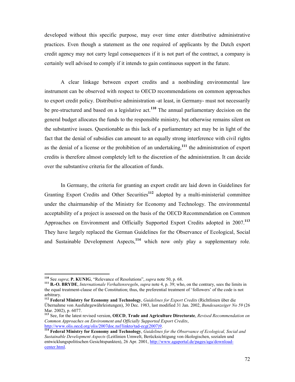developed without this specific purpose, may over time enter distributive administrative practices. Even though a statement as the one required of applicants by the Dutch export credit agency may not carry legal consequences if it is not part of the contract, a company is certainly well advised to comply if it intends to gain continuous support in the future.

A clear linkage between export credits and a nonbinding environmental law instrument can be observed with respect to OECD recommendations on common approaches to export credit policy. Distributive administration -at least, in Germany- must not necessarily be pre-structured and based on a legislative  $act<sup>110</sup>$ . The annual parliamentary decision on the general budget allocates the funds to the responsible ministry, but otherwise remains silent on the substantive issues. Questionable as this lack of a parliamentary act may be in light of the fact that the denial of subsidies can amount to an equally strong interference with civil rights as the denial of a license or the prohibition of an undertaking,<sup>111</sup> the administration of export credits is therefore almost completely left to the discretion of the administration. It can decide over the substantive criteria for the allocation of funds.

In Germany, the criteria for granting an export credit are laid down in Guidelines for Granting Export Credits and Other Securities<sup>112</sup> adopted by a multi-ministerial committee under the chairmanship of the Ministry for Economy and Technology. The environmental acceptability of a project is assessed on the basis of the OECD Recommendation on Common Approaches on Environment and Officially Supported Export Credits adopted in 2007.<sup>113</sup> They have largely replaced the German Guidelines for the Observance of Ecological, Social and Sustainable Development Aspects, $114$  which now only play a supplementary role.

<sup>&</sup>lt;sup>110</sup> See *supra*; **P. KUNIG**, "Relevance of Resolutions", *supra* note 50, p. 68.

<sup>&</sup>lt;sup>111</sup> B.-O. BRYDE, *Internationale Verhaltensregeln, supra* note 4, p. 39; who, on the contrary, sees the limits in the equal treatment-clause of the Constitution; thus, the preferential treatment of 'followers' of the code is not arbitrary.

<sup>&</sup>lt;sup>112</sup> Federal Ministry for Economy and Technology, Guidelines for Export Credits (Richtlinien über die Übernahme von Ausfuhrgewährleistungen), 30 Dec. 1983, last modified 31 Jan. 2002, Bundesanzeiger No 59 (26 Mar. 2002), p. 6077.

<sup>&</sup>lt;sup>113</sup> See, for the latest revised version, OECD, Trade and Agriculture Directorate, Revised Recommendation on Common Approaches on Environment and Officially Supported Export Credits, http://www.olis.oecd.org/olis/2007doc.nsf/linkto/tad-ecg(2007)9.

 $114$  Federal Ministry for Economy and Technology, Guidelines for the Observance of Ecological, Social and Sustainable Development Aspects (Leitlinien Umwelt, Berücksichtigung von ökologischen, sozialen und entwicklungspolitischen Gesichtspunkten), 26 Apr. 2001, http://www.agaportal.de/pages/aga/downloadcenter.html.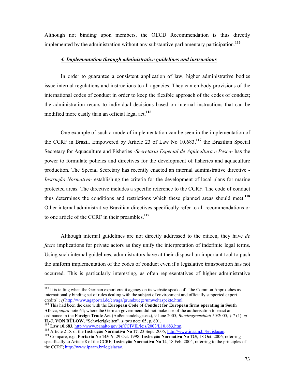Although not binding upon members, the OECD Recommendation is thus directly implemented by the administration without any substantive parliamentary participation.<sup>115</sup>

# 4. Implementation through administrative guidelines and instructions

In order to guarantee a consistent application of law, higher administrative bodies issue internal regulations and instructions to all agencies. They can embody provisions of the international codes of conduct in order to keep the flexible approach of the codes of conduct; the administration recurs to individual decisions based on internal instructions that can be modified more easily than an official legal act.<sup>116</sup>

One example of such a mode of implementation can be seen in the implementation of the CCRF in Brazil. Empowered by Article 23 of Law No  $10.683$ ,  $117$  the Brazilian Special Secretary for Aquaculture and Fisheries -Secretaria Especial de Aqüicultura e Pesca- has the power to formulate policies and directives for the development of fisheries and aquaculture production. The Special Secretary has recently enacted an internal administrative directive - Instrução Normativa- establishing the criteria for the development of local plans for marine protected areas. The directive includes a specific reference to the CCRF. The code of conduct thus determines the conditions and restrictions which these planned areas should meet.<sup>118</sup> Other internal administrative Brazilian directives specifically refer to all recommendations or to one article of the CCRF in their preambles.<sup>119</sup>

Although internal guidelines are not directly addressed to the citizen, they have de facto implications for private actors as they unify the interpretation of indefinite legal terms. Using such internal guidelines, administrators have at their disposal an important tool to push the uniform implementation of the codes of conduct even if a legislative transposition has not occurred. This is particularly interesting, as often representatives of higher administrative

<sup>116</sup> This had been the case with the European Code of Conduct for European firms operating in South Africa, *supra* note 64; where the German government did not make use of the authorisation to enact an ordinance in the Foreign Trade Act (Außenhandelsgesetz), 9 June 2005, *Bundesgesetzblatt* 50/2005, § 7 (1); cf H.-J. VON BÜLOW, "Schwierigkeiten", *supra* note 65, p. 601.

 $\overline{a}$ 

118 Article 2 IX of the **Instrução Normativa No 17**, 23 Sept. 2005, http://www.ipaam.br/legislacao. <sup>119</sup> Compare, e.g., Portaria No 145-N, 29 Oct. 1998; Instrução Normativa No 125, 18 Oct. 2006, referring specifically to Article 8 of the CCRF; Instrução Normativa No 14, 18 Feb. 2004, referring to the principles of the CCRF; http://www.ipaam.br/legislacao.

<sup>&</sup>lt;sup>115</sup> It is telling when the German export credit agency on its website speaks of "the Common Approaches as internationally binding set of rules dealing with the subject of environment and officially supported export credits"; *cf* http://www.agaportal.de/en/aga/grundzuege/umweltaspekte.html.

<sup>&</sup>lt;sup>117</sup> Law 10.683, http://www.panalto.gov.br/CCIVIL/leis/2003/L10.683.htm.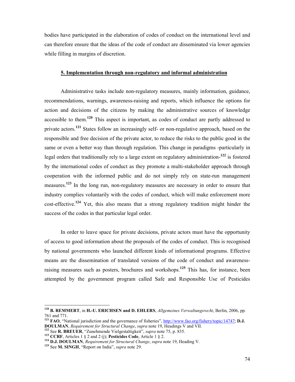bodies have participated in the elaboration of codes of conduct on the international level and can therefore ensure that the ideas of the code of conduct are disseminated via lower agencies while filling in margins of discretion.

# 5. Implementation through non-regulatory and informal administration

Administrative tasks include non-regulatory measures, mainly information, guidance, recommendations, warnings, awareness-raising and reports, which influence the options for action and decisions of the citizens by making the administrative sources of knowledge accessible to them.<sup>120</sup> This aspect is important, as codes of conduct are partly addressed to private actors.<sup>121</sup> States follow an increasingly self- or non-regulative approach, based on the responsible and free decision of the private actor, to reduce the risks to the public good in the same or even a better way than through regulation. This change in paradigms -particularly in legal orders that traditionally rely to a large extent on regulatory administration-<sup>122</sup> is fostered by the international codes of conduct as they promote a multi-stakeholder approach through cooperation with the informed public and do not simply rely on state-run management measures.<sup>123</sup> In the long run, non-regulatory measures are necessary in order to ensure that industry complies voluntarily with the codes of conduct, which will make enforcement more cost-effective.<sup>124</sup> Yet, this also means that a strong regulatory tradition might hinder the success of the codes in that particular legal order.

In order to leave space for private decisions, private actors must have the opportunity of access to good information about the proposals of the codes of conduct. This is recognised by national governments who launched different kinds of informational programs. Effective means are the dissemination of translated versions of the code of conduct and awarenessraising measures such as posters, brochures and workshops.<sup>125</sup> This has, for instance, been attempted by the government program called Safe and Responsible Use of Pesticides

 $120$  B. REMMERT, in H.-U. ERICHSEN and D. EHLERS, *Allgemeines Verwaltungsrecht*, Berlin, 2006, pp. 761 and 771.

<sup>&</sup>lt;sup>121</sup> FAO, "National jurisdiction and the governance of fisheries",  $\frac{http://www.fao.org/fishery/topic/14747; D.J.})$ DOULMA, Requirement for Structural Change, supra note 19, Headings V and VII.

<sup>&</sup>lt;sup>122</sup> See **R. BREUER**, "Zunehmende Vielgestaltigkeit", supra note 75, p. 835.

<sup>&</sup>lt;sup>123</sup> CCRF, Articles 1 § 2 and 2 (j); Pesticides Code, Article 1 § 2.

<sup>&</sup>lt;sup>124</sup> D.J. DOULMAN, Requirement for Structural Change, supra note 19, Heading V.

<sup>&</sup>lt;sup>125</sup> See M. SINGH, "Report on India", *supra* note 29.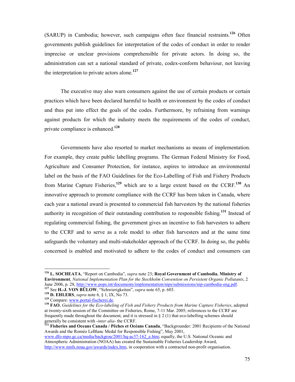(SARUP) in Cambodia; however, such campaigns often face financial restraints.<sup>126</sup> Often governments publish guidelines for interpretation of the codes of conduct in order to render imprecise or unclear provisions comprehensible for private actors. In doing so, the administration can set a national standard of private, codex-conform behaviour, not leaving the interpretation to private actors alone.<sup>127</sup>

The executive may also warn consumers against the use of certain products or certain practices which have been declared harmful to health or environment by the codes of conduct and thus put into effect the goals of the codes. Furthermore, by refraining from warnings against products for which the industry meets the requirements of the codes of conduct, private compliance is enhanced.<sup>128</sup>

Governments have also resorted to market mechanisms as means of implementation. For example, they create public labelling programs. The German Federal Ministry for Food, Agriculture and Consumer Protection, for instance, aspires to introduce an environmental label on the basis of the FAO Guidelines for the Eco-Labelling of Fish and Fishery Products from Marine Capture Fisheries,<sup>129</sup> which are to a large extent based on the CCRF.<sup>130</sup> An innovative approach to promote compliance with the CCRF has been taken in Canada, where each year a national award is presented to commercial fish harvesters by the national fisheries authority in recognition of their outstanding contribution to responsible fishing.<sup>131</sup> Instead of regulating commercial fishing, the government gives an incentive to fish harvesters to adhere to the CCRF and to serve as a role model to other fish harvesters and at the same time safeguards the voluntary and multi-stakeholder approach of the CCRF. In doing so, the public concerned is enabled and motivated to adhere to the codes of conduct and consumers can

<sup>&</sup>lt;sup>126</sup> L. SOCHEATA, "Report on Cambodia", *supra* note 23; Royal Government of Cambodia, Ministry of Environment, National Implementation Plan for the Stockholm Convention on Persistent Organic Pollutants, 2 June 2006, p. 28, http://www.pops.int/documents/implementation/nips/submissions/nip-cambodia-eng.pdf.

<sup>&</sup>lt;sup>127</sup> See H.-J. VON BÜLOW, "Schwierigkeiten", *supra* note 65, p. 603.

<sup>&</sup>lt;sup>128</sup> D. EHLERS, *supra* note  $6, \S 1, IX, No 73$ .

<sup>129</sup> Compare: www.portal-fischerei.de.

 $130$   $\overline{FAO}$ , Guidelines for the Eco-labeling of Fish and Fishery Products from Marine Capture Fisheries, adopted at twenty-sixth session of the Committee on Fisheries, Rome, 7-11 Mar. 2005; references to the CCRF are frequently made throughout the document, and it is stressed in  $\S 2$  (1) that eco-labelling schemes should generally be consistent with -inter alia- the CCRF.

<sup>&</sup>lt;sup>131</sup> Fisheries and Oceans Canada / Pêches et Océans Canada, "Backgrounder: 2001 Recipients of the National Awards and the Roméo LeBlanc Medal for Responsible Fishing", May 2001, www.dfo-mpo.gc.ca/media/backgrou/2001/hq-ac37-162\_e.htm; equally, the U.S. National Oceanic and Atmospheric Administration (NOAA) has created the Sustainable Fisheries Leadership Award, http://www.nmfs.noaa.gov/awards/index.htm, in cooperation with a contracted non-profit organisation.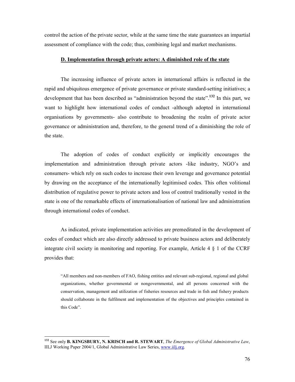control the action of the private sector, while at the same time the state guarantees an impartial assessment of compliance with the code; thus, combining legal and market mechanisms.

# D. Implementation through private actors: A diminished role of the state

The increasing influence of private actors in international affairs is reflected in the rapid and ubiquitous emergence of private governance or private standard-setting initiatives; a development that has been described as "administration beyond the state".<sup>132</sup> In this part, we want to highlight how international codes of conduct -although adopted in international organisations by governments- also contribute to broadening the realm of private actor governance or administration and, therefore, to the general trend of a diminishing the role of the state.

The adoption of codes of conduct explicitly or implicitly encourages the implementation and administration through private actors -like industry, NGO's and consumers- which rely on such codes to increase their own leverage and governance potential by drawing on the acceptance of the internationally legitimised codes. This often volitional distribution of regulative power to private actors and loss of control traditionally vested in the state is one of the remarkable effects of internationalisation of national law and administration through international codes of conduct.

As indicated, private implementation activities are premeditated in the development of codes of conduct which are also directly addressed to private business actors and deliberately integrate civil society in monitoring and reporting. For example, Article 4 § 1 of the CCRF provides that:

"All members and non-members of FAO, fishing entities and relevant sub-regional, regional and global organizations, whether governmental or nongovernmental, and all persons concerned with the conservation, management and utilization of fisheries resources and trade in fish and fishery products should collaborate in the fulfilment and implementation of the objectives and principles contained in this Code".

 $^{132}$  See only **B. KINGSBURY, N. KRISCH and R. STEWART**, The Emergence of Global Administrative Law, IILJ Working Paper 2004/1, Global Administrative Law Series, www.iilj.org.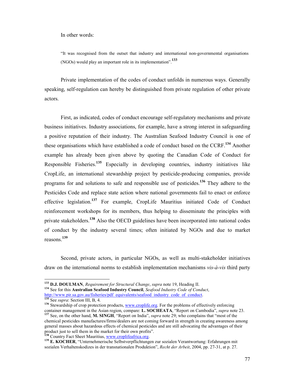In other words:

"It was recognised from the outset that industry and international non-governmental organisations (NGOs) would play an important role in its implementation".<sup>133</sup>

Private implementation of the codes of conduct unfolds in numerous ways. Generally speaking, self-regulation can hereby be distinguished from private regulation of other private actors.

First, as indicated, codes of conduct encourage self-regulatory mechanisms and private business initiatives. Industry associations, for example, have a strong interest in safeguarding a positive reputation of their industry. The Australian Seafood Industry Council is one of these organisations which have established a code of conduct based on the CCRF.<sup>134</sup> Another example has already been given above by quoting the Canadian Code of Conduct for Responsible Fisheries.<sup>135</sup> Especially in developing countries, industry initiatives like CropLife, an international stewardship project by pesticide-producing companies, provide programs for and solutions to safe and responsible use of pesticides.<sup>136</sup> They adhere to the Pesticides Code and replace state action where national governments fail to enact or enforce effective legislation.<sup>137</sup> For example, CropLife Mauritius initiated Code of Conduct reinforcement workshops for its members, thus helping to disseminate the principles with private stakeholders.<sup>138</sup> Also the OECD guidelines have been incorporated into national codes of conduct by the industry several times; often initiated by NGOs and due to market reasons.<sup>139</sup>

Second, private actors, in particular NGOs, as well as multi-stakeholder initiatives draw on the international norms to establish implementation mechanisms vis-à-vis third party

 $^{133}$  D.J. DOULMAN, Requirement for Structural Change, supra note 19, Heading II.

<sup>&</sup>lt;sup>134</sup> See for this Australian Seafood Industry Council, Seafood Industry Code of Conduct, http://www.pir.sa.gov.au/fisheries/pdf\_equivalents/seafood\_industry\_code\_of\_conduct.  $135$  See *supra*: Section III, B, 4.

<sup>&</sup>lt;sup>136</sup> Stewardship of crop protection products, www.croplife.org. For the problems of effectively enforcing container management in the Asian region, compare: L. SOCHEATA, "Report on Cambodia", *supra* note 23. <sup>137</sup> See, on the other hand, M. SINGH, "Report on India", *supra* note 29; who complains that "most of the chemical pesticides manufactures/firms/dealers are not coming forward in strength in creating awareness among general masses about hazardous effects of chemical pesticides and are still advocating the advantages of their product just to sell them in the market for their own profits".

<sup>&</sup>lt;sup>138</sup> Country Fact Sheet Mauritius, www.croplifeafrica.org.

<sup>139</sup> E. KOCHER, "Unternehmerische Selbstverpflichtungen zur sozialen Verantwortung: Erfahrungen mit sozialen Verhaltenskodizes in der transnationalen Produktion", Recht der Arbeit, 2004, pp. 27-31, at p. 27.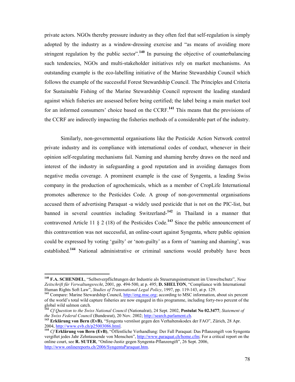private actors. NGOs thereby pressure industry as they often feel that self-regulation is simply adopted by the industry as a window-dressing exercise and "as means of avoiding more stringent regulation by the public sector".<sup>140</sup> In pursuing the objective of counterbalancing such tendencies, NGOs and multi-stakeholder initiatives rely on market mechanisms. An outstanding example is the eco-labelling initiative of the Marine Stewardship Council which follows the example of the successful Forest Stewardship Council. The Principles and Criteria for Sustainable Fishing of the Marine Stewardship Council represent the leading standard against which fisheries are assessed before being certified; the label being a main market tool for an informed consumers' choice based on the  $CCFF$ .<sup>141</sup> This means that the provisions of the CCRF are indirectly impacting the fisheries methods of a considerable part of the industry.

Similarly, non-governmental organisations like the Pesticide Action Network control private industry and its compliance with international codes of conduct, whenever in their opinion self-regulating mechanisms fail. Naming and shaming hereby draws on the need and interest of the industry in safeguarding a good reputation and in avoiding damages from negative media coverage. A prominent example is the case of Syngenta, a leading Swiss company in the production of agrochemicals, which as a member of CropLife International promotes adherence to the Pesticides Code. A group of non-governmental organisations accused them of advertising Paraquat -a widely used pesticide that is not on the PIC-list, but banned in several countries including Switzerland-<sup>142</sup> in Thailand in a manner that contravened Article 11  $\S$  2 (18) of the Pesticides Code.<sup>143</sup> Since the public announcement of this contravention was not successful, an online-court against Syngenta, where public opinion could be expressed by voting 'guilty' or 'non-guilty' as a form of 'naming and shaming', was established.<sup>144</sup> National administrative or criminal sanctions would probably have been

<sup>&</sup>lt;sup>140</sup> F.A. SCHENDEL, "Selbstverpflichtungen der Industrie als Steuerungsinstrument im Umweltschutz", Neue Zeitschrift für Verwaltungsrecht, 2001, pp. 494-500, at p. 495; D. SHELTON, "Compliance with International Human Rights Soft Law", Studies of Transnational Legal Policy, 1997, pp. 119-143, at p. 129.

<sup>&</sup>lt;sup>141</sup> Compare: Marine Stewardship Council, http://eng.msc.org; according to MSC information, about six percent of the world's total wild capture fisheries are now engaged in this programme, including forty-two percent of the global wild salmon catch.

<sup>&</sup>lt;sup>142</sup> Cf Question to the Swiss National Council (Nationalrat), 24 Sept. 2002, Postulat No 02.3477; Statement of the Swiss Federal Council (Bundesrat), 20 Nov. 2002; http://search.parlament.ch.

<sup>&</sup>lt;sup>143</sup> Erklärung von Bern (EvB), "Syngenta verstösst gegen den Verhaltenskodex der FAO", Zürich, 28 Apr. 2004, http://www.evb.ch/p25003086.html.

<sup>144</sup> Cf Erklärung von Bern (EvB), "Öffentliche Verhandlung: Der Fall Paraquat: Das Pflanzengift von Syngenta vergiftet jedes Jahr Zehntausende von Menschen", http://www.paraquat.ch/home.cfm; For a critical report on the online court, see R. SUTER, "Online-Justiz gegen Syngenta-Pflanzengift", 26 Sept. 2006, http://www.onlinereports.ch/2006/SyngentaParaquat.htm.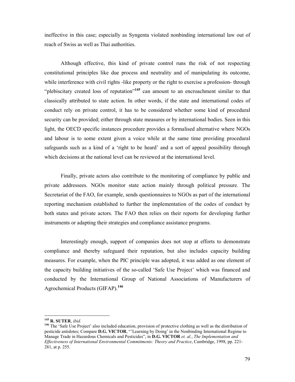ineffective in this case; especially as Syngenta violated nonbinding international law out of reach of Swiss as well as Thai authorities.

Although effective, this kind of private control runs the risk of not respecting constitutional principles like due process and neutrality and of manipulating its outcome, while interference with civil rights -like property or the right to exercise a profession- through "plebiscitary created loss of reputation"<sup>145</sup> can amount to an encroachment similar to that classically attributed to state action. In other words, if the state and international codes of conduct rely on private control, it has to be considered whether some kind of procedural security can be provided; either through state measures or by international bodies. Seen in this light, the OECD specific instances procedure provides a formalised alternative where NGOs and labour is to some extent given a voice while at the same time providing procedural safeguards such as a kind of a 'right to be heard' and a sort of appeal possibility through which decisions at the national level can be reviewed at the international level.

Finally, private actors also contribute to the monitoring of compliance by public and private addressees. NGOs monitor state action mainly through political pressure. The Secretariat of the FAO, for example, sends questionnaires to NGOs as part of the international reporting mechanism established to further the implementation of the codes of conduct by both states and private actors. The FAO then relies on their reports for developing further instruments or adapting their strategies and compliance assistance programs.

Interestingly enough, support of companies does not stop at efforts to demonstrate compliance and thereby safeguard their reputation, but also includes capacity building measures. For example, when the PIC principle was adopted, it was added as one element of the capacity building initiatives of the so-called 'Safe Use Project' which was financed and conducted by the International Group of National Associations of Manufacturers of Agrochemical Products (GIFAP).<sup>146</sup>

 $145$  R. SUTER, ibid.

<sup>&</sup>lt;sup>146</sup> The 'Safe Use Project' also included education, provision of protective clothing as well as the distribution of pesticide antidotes; Compare D.G. VICTOR, "'Learning by Doing' in the Nonbinding International Regime to Manage Trade in Hazardous Chemicals and Pesticides", in D.G. VICTOR et. al., The Implementation and Effectiveness of International Environmental Commitments: Theory and Practice, Cambridge, 1998, pp. 221- 281, at p. 255.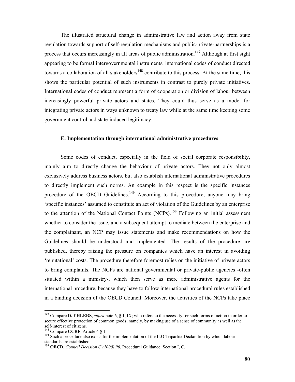The illustrated structural change in administrative law and action away from state regulation towards support of self-regulation mechanisms and public-private-partnerships is a process that occurs increasingly in all areas of public administration.<sup>147</sup> Although at first sight appearing to be formal intergovernmental instruments, international codes of conduct directed towards a collaboration of all stakeholders<sup>148</sup> contribute to this process. At the same time, this shows the particular potential of such instruments in contrast to purely private initiatives. International codes of conduct represent a form of cooperation or division of labour between increasingly powerful private actors and states. They could thus serve as a model for integrating private actors in ways unknown to treaty law while at the same time keeping some government control and state-induced legitimacy.

#### E. Implementation through international administrative procedures

Some codes of conduct, especially in the field of social corporate responsibility, mainly aim to directly change the behaviour of private actors. They not only almost exclusively address business actors, but also establish international administrative procedures to directly implement such norms. An example in this respect is the specific instances procedure of the OECD Guidelines.<sup>149</sup> According to this procedure, anyone may bring 'specific instances' assumed to constitute an act of violation of the Guidelines by an enterprise to the attention of the National Contact Points (NCPs).<sup>150</sup> Following an initial assessment whether to consider the issue, and a subsequent attempt to mediate between the enterprise and the complainant, an NCP may issue statements and make recommendations on how the Guidelines should be understood and implemented. The results of the procedure are published, thereby raising the pressure on companies which have an interest in avoiding 'reputational' costs. The procedure therefore foremost relies on the initiative of private actors to bring complaints. The NCPs are national governmental or private-public agencies -often situated within a ministry-, which then serve as mere administrative agents for the international procedure, because they have to follow international procedural rules established in a binding decision of the OECD Council. Moreover, the activities of the NCPs take place

<sup>&</sup>lt;sup>147</sup> Compare **D. EHLERS**, *supra* note 6, § 1, IX; who refers to the necessity for such forms of action in order to secure effective protection of common goods; namely, by making use of a sense of community as well as the self-interest of citizens.

<sup>&</sup>lt;sup>148</sup> Compare CCRF, Article  $4 \S 1$ .

<sup>&</sup>lt;sup>149</sup> Such a procedure also exists for the implementation of the ILO Tripartite Declaration by which labour standards are established.

<sup>&</sup>lt;sup>150</sup> OECD, *Council Decision C (2000)* 96, Procedural Guidance, Section I, C.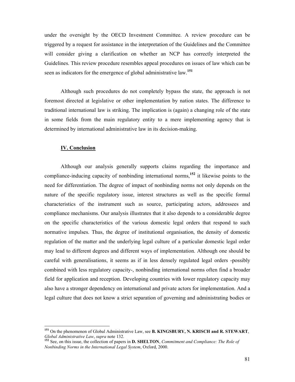under the oversight by the OECD Investment Committee. A review procedure can be triggered by a request for assistance in the interpretation of the Guidelines and the Committee will consider giving a clarification on whether an NCP has correctly interpreted the Guidelines. This review procedure resembles appeal procedures on issues of law which can be seen as indicators for the emergence of global administrative law.<sup>151</sup>

Although such procedures do not completely bypass the state, the approach is not foremost directed at legislative or other implementation by nation states. The difference to traditional international law is striking. The implication is (again) a changing role of the state in some fields from the main regulatory entity to a mere implementing agency that is determined by international administrative law in its decision-making.

#### IV. Conclusion

 $\ddot{\phantom{a}}$ 

Although our analysis generally supports claims regarding the importance and compliance-inducing capacity of nonbinding international norms,<sup>152</sup> it likewise points to the need for differentiation. The degree of impact of nonbinding norms not only depends on the nature of the specific regulatory issue, interest structures as well as the specific formal characteristics of the instrument such as source, participating actors, addressees and compliance mechanisms. Our analysis illustrates that it also depends to a considerable degree on the specific characteristics of the various domestic legal orders that respond to such normative impulses. Thus, the degree of institutional organisation, the density of domestic regulation of the matter and the underlying legal culture of a particular domestic legal order may lead to different degrees and different ways of implementation. Although one should be careful with generalisations, it seems as if in less densely regulated legal orders -possibly combined with less regulatory capacity-, nonbinding international norms often find a broader field for application and reception. Developing countries with lower regulatory capacity may also have a stronger dependency on international and private actors for implementation. And a legal culture that does not know a strict separation of governing and administrating bodies or

<sup>&</sup>lt;sup>151</sup> On the phenomenon of Global Administrative Law, see **B. KINGSBURY, N. KRISCH and R. STEWART**, Global Administrative Law, supra note 132.

 $152$  See, on this issue, the collection of papers in **D. SHELTON**, Commitment and Compliance: The Role of Nonbinding Norms in the International Legal System, Oxford, 2000.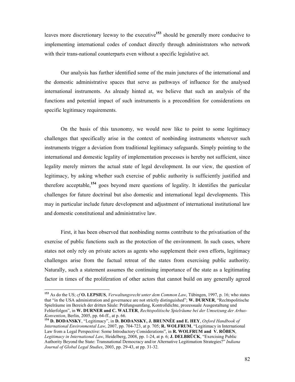leaves more discretionary leeway to the executive<sup>153</sup> should be generally more conducive to implementing international codes of conduct directly through administrators who network with their trans-national counterparts even without a specific legislative act.

Our analysis has further identified some of the main junctures of the international and the domestic administrative spaces that serve as pathways of influence for the analysed international instruments. As already hinted at, we believe that such an analysis of the functions and potential impact of such instruments is a precondition for considerations on specific legitimacy requirements.

On the basis of this taxonomy, we would now like to point to some legitimacy challenges that specifically arise in the context of nonbinding instruments wherever such instruments trigger a deviation from traditional legitimacy safeguards. Simply pointing to the international and domestic legality of implementation processes is hereby not sufficient, since legality merely mirrors the actual state of legal development. In our view, the question of legitimacy, by asking whether such exercise of public authority is sufficiently justified and therefore acceptable,<sup>154</sup> goes beyond mere questions of legality. It identifies the particular challenges for future doctrinal but also domestic and international legal developments. This may in particular include future development and adjustment of international institutional law and domestic constitutional and administrative law.

First, it has been observed that nonbinding norms contribute to the privatisation of the exercise of public functions such as the protection of the environment. In such cases, where states not only rely on private actors as agents who supplement their own efforts, legitimacy challenges arise from the factual retreat of the states from exercising public authority. Naturally, such a statement assumes the continuing importance of the state as a legitimating factor in times of the proliferation of other actors that cannot build on any generally agreed

<sup>&</sup>lt;sup>153</sup> As do the US; cf **O. LEPSIUS**, Verwaltungsrecht unter dem Common Law, Tübingen, 1997, p. 16; who states that "in the USA administration and governance are not strictly distinguished"; W. DURER, "Rechtspolitische Spielräume im Bereich der dritten Säule: Prüfungsumfang, Kontrolldichte, prozessuale Ausgestaltung und Fehlerfolgen", in W. DURNER and C. WALTER, Rechtspolitische Spielräume bei der Umsetzung der Arhus-Konvention, Berlin, 2005, pp. 64-ff., at p. 66.

<sup>154</sup> D. BODANSKY, "Legitimacy", in D. BODANSKY, J. BRUNNÉE and E. HEY, Oxford Handbook of International Environmental Law, 2007, pp. 704-723, at p. 705; R. WOLFRUM, "Legitimacy in International Law from a Legal Perspective: Some Introductory Considerations", in R. WOLFRUM and V. RÖBEN, Legitimacy in International Law, Heidelberg, 2008, pp. 1-24, at p. 6; J. DELBRÜCK, "Exercising Public Authority Beyond the State: Transnational Democracy and/or Alternative Legitimation Strategies?" Indiana Journal of Global Legal Studies, 2003, pp. 29-43, at pp. 31-32.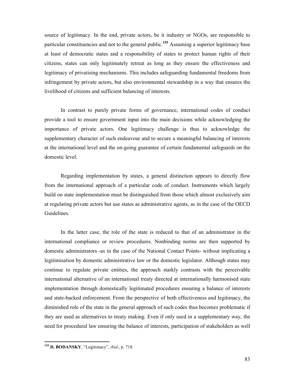source of legitimacy. In the end, private actors, be it industry or NGOs, are responsible to particular constituencies and not to the general public.<sup>155</sup> Assuming a superior legitimacy base at least of democratic states and a responsibility of states to protect human rights of their citizens, states can only legitimately retreat as long as they ensure the effectiveness and legitimacy of privatising mechanisms. This includes safeguarding fundamental freedoms from infringement by private actors, but also environmental stewardship in a way that ensures the livelihood of citizens and sufficient balancing of interests.

In contrast to purely private forms of governance, international codes of conduct provide a tool to ensure government input into the main decisions while acknowledging the importance of private actors. One legitimacy challenge is thus to acknowledge the supplementary character of such endeavour and to secure a meaningful balancing of interests at the international level and the on-going guarantee of certain fundamental safeguards on the domestic level.

Regarding implementation by states, a general distinction appears to directly flow from the international approach of a particular code of conduct. Instruments which largely build on state implementation must be distinguished from those which almost exclusively aim at regulating private actors but use states as administrative agents, as in the case of the OECD Guidelines.

In the latter case, the role of the state is reduced to that of an administrator in the international compliance or review procedures. Nonbinding norms are then supported by domestic administrators -as in the case of the National Contact Points- without implicating a legitimisation by domestic administrative law or the domestic legislator. Although states may continue to regulate private entities, the approach starkly contrasts with the perceivable international alternative of an international treaty directed at internationally harmonised state implementation through domestically legitimated procedures ensuring a balance of interests and state-backed enforcement. From the perspective of both effectiveness and legitimacy, the diminished role of the state in the general approach of such codes thus becomes problematic if they are used as alternatives to treaty making. Even if only used in a supplementary way, the need for procedural law ensuring the balance of interests, participation of stakeholders as well

 $\overline{a}$ <sup>155</sup> D. BODANSKY, "Legitimacy", *ibid.*, p. 718.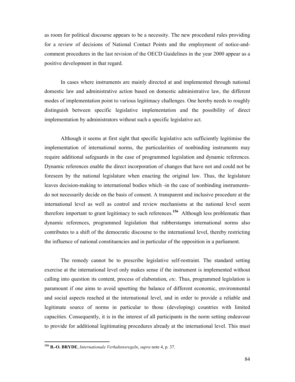as room for political discourse appears to be a necessity. The new procedural rules providing for a review of decisions of National Contact Points and the employment of notice-andcomment procedures in the last revision of the OECD Guidelines in the year 2000 appear as a positive development in that regard.

In cases where instruments are mainly directed at and implemented through national domestic law and administrative action based on domestic administrative law, the different modes of implementation point to various legitimacy challenges. One hereby needs to roughly distinguish between specific legislative implementation and the possibility of direct implementation by administrators without such a specific legislative act.

Although it seems at first sight that specific legislative acts sufficiently legitimise the implementation of international norms, the particularities of nonbinding instruments may require additional safeguards in the case of programmed legislation and dynamic references. Dynamic references enable the direct incorporation of changes that have not and could not be foreseen by the national legislature when enacting the original law. Thus, the legislature leaves decision-making to international bodies which -in the case of nonbinding instrumentsdo not necessarily decide on the basis of consent. A transparent and inclusive procedure at the international level as well as control and review mechanisms at the national level seem therefore important to grant legitimacy to such references.<sup>156</sup> Although less problematic than dynamic references, programmed legislation that rubberstamps international norms also contributes to a shift of the democratic discourse to the international level, thereby restricting the influence of national constituencies and in particular of the opposition in a parliament.

The remedy cannot be to prescribe legislative self-restraint. The standard setting exercise at the international level only makes sense if the instrument is implemented without calling into question its content, process of elaboration, etc. Thus, programmed legislation is paramount if one aims to avoid upsetting the balance of different economic, environmental and social aspects reached at the international level, and in order to provide a reliable and legitimate source of norms in particular to those (developing) countries with limited capacities. Consequently, it is in the interest of all participants in the norm setting endeavour to provide for additional legitimating procedures already at the international level. This must

<sup>&</sup>lt;sup>156</sup> B.-O. BRYDE, Internationale Verhaltensregeln, supra note 4, p. 37.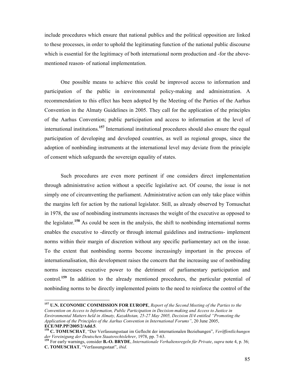include procedures which ensure that national publics and the political opposition are linked to these processes, in order to uphold the legitimating function of the national public discourse which is essential for the legitimacy of both international norm production and -for the abovementioned reason- of national implementation.

One possible means to achieve this could be improved access to information and participation of the public in environmental policy-making and administration. A recommendation to this effect has been adopted by the Meeting of the Parties of the Aarhus Convention in the Almaty Guidelines in 2005. They call for the application of the principles of the Aarhus Convention; public participation and access to information at the level of international institutions.<sup>157</sup> International institutional procedures should also ensure the equal participation of developing and developed countries, as well as regional groups, since the adoption of nonbinding instruments at the international level may deviate from the principle of consent which safeguards the sovereign equality of states.

Such procedures are even more pertinent if one considers direct implementation through administrative action without a specific legislative act. Of course, the issue is not simply one of circumventing the parliament. Administrative action can only take place within the margins left for action by the national legislator. Still, as already observed by Tomuschat in 1978, the use of nonbinding instruments increases the weight of the executive as opposed to the legislator.<sup>158</sup> As could be seen in the analysis, the shift to nonbinding international norms enables the executive to -directly or through internal guidelines and instructions- implement norms within their margin of discretion without any specific parliamentary act on the issue. To the extent that nonbinding norms become increasingly important in the process of internationalisation, this development raises the concern that the increasing use of nonbinding norms increases executive power to the detriment of parliamentary participation and control.<sup>159</sup> In addition to the already mentioned procedures, the particular potential of nonbinding norms to be directly implemented points to the need to reinforce the control of the

<sup>&</sup>lt;sup>157</sup> U.N. ECONOMIC COMMISSION FOR EUROPE, Report of the Second Meeting of the Parties to the Convention on Access to Information, Public Participation in Decision-making and Access to Justice in Environmental Matters held in Almaty, Kazakhstan, 25-27 May 2005, Decision II/4 entitled "Promoting the Application of the Principles of the Aarhus Convention in International Forums", 20 June 2005, ECE/MP.PP/2005/2/Add.5.

<sup>158</sup> C. TOMUSCHAT, "Der Verfassungsstaat im Geflecht der internationalen Beziehungen", Veröffentlichungen der Vereinigung der Deutschen Staatsrechtslehrer, 1978, pp. 7-63.

<sup>&</sup>lt;sup>159</sup> For early warnings, consider **B.-O. BRYDE**, *Internationale Verhaltensregeln für Private*, supra note 4, p. 36; C. TOMUSCHAT, "Verfassungsstaat", ibid.